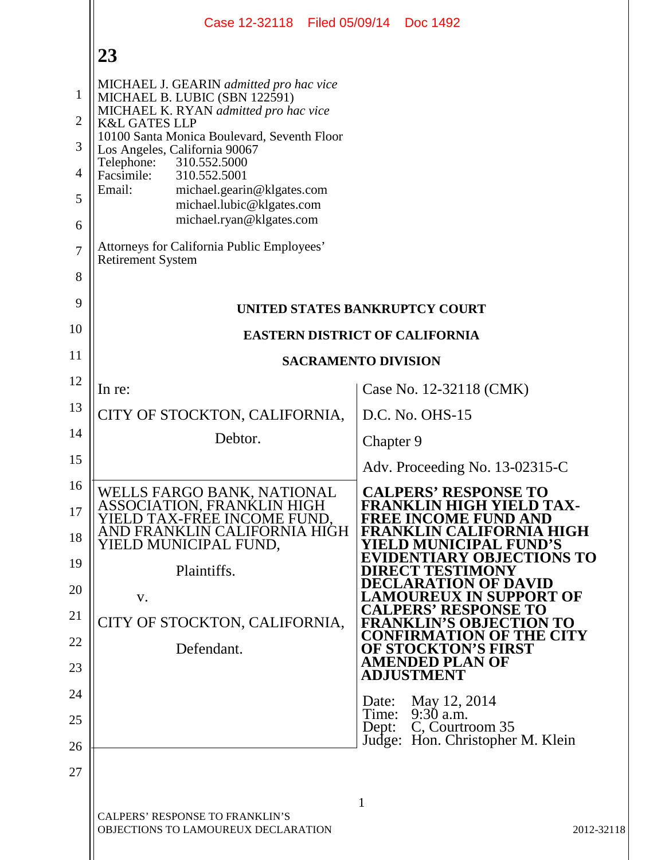|                                                                           | Case 12-32118 Filed 05/09/14 Doc 1492                                                                                                                                                                                                                                                                                                                                                                                                                                |                                                                                                                                                                                                                                               |
|---------------------------------------------------------------------------|----------------------------------------------------------------------------------------------------------------------------------------------------------------------------------------------------------------------------------------------------------------------------------------------------------------------------------------------------------------------------------------------------------------------------------------------------------------------|-----------------------------------------------------------------------------------------------------------------------------------------------------------------------------------------------------------------------------------------------|
|                                                                           | 23                                                                                                                                                                                                                                                                                                                                                                                                                                                                   |                                                                                                                                                                                                                                               |
| $\mathbf{1}$<br>$\overline{2}$<br>3<br>4<br>5<br>6<br>$\overline{7}$<br>8 | MICHAEL J. GEARIN admitted pro hac vice<br>MICHAEL B. LUBIC (SBN 122591)<br>MICHAEL K. RYAN admitted pro hac vice<br><b>K&amp;L GATES LLP</b><br>10100 Santa Monica Boulevard, Seventh Floor<br>Los Angeles, California 90067<br>310.552.5000<br>Telephone:<br>Facsimile:<br>310.552.5001<br>Email:<br>michael.gearin@klgates.com<br>michael.lubic@klgates.com<br>michael.ryan@klgates.com<br>Attorneys for California Public Employees'<br><b>Retirement System</b> |                                                                                                                                                                                                                                               |
| 9                                                                         |                                                                                                                                                                                                                                                                                                                                                                                                                                                                      | UNITED STATES BANKRUPTCY COURT                                                                                                                                                                                                                |
| 10                                                                        |                                                                                                                                                                                                                                                                                                                                                                                                                                                                      | <b>EASTERN DISTRICT OF CALIFORNIA</b>                                                                                                                                                                                                         |
| 11                                                                        |                                                                                                                                                                                                                                                                                                                                                                                                                                                                      | <b>SACRAMENTO DIVISION</b>                                                                                                                                                                                                                    |
| 12                                                                        | In re:                                                                                                                                                                                                                                                                                                                                                                                                                                                               | Case No. 12-32118 (CMK)                                                                                                                                                                                                                       |
| 13                                                                        | CITY OF STOCKTON, CALIFORNIA,                                                                                                                                                                                                                                                                                                                                                                                                                                        | D.C. No. OHS-15                                                                                                                                                                                                                               |
| 14                                                                        | Debtor.                                                                                                                                                                                                                                                                                                                                                                                                                                                              | Chapter 9                                                                                                                                                                                                                                     |
| 15                                                                        |                                                                                                                                                                                                                                                                                                                                                                                                                                                                      | Adv. Proceeding No. 13-02315-C                                                                                                                                                                                                                |
| 16<br>17<br>18<br>19<br>20                                                | WELLS FARGO BANK, NATIONAL<br>ASSOCIATION, FRANKLIN HIGH<br>ELD TAX-FREE INCOME FUND.<br>AND FRANKLIN CALIFORNIA HIGH<br>YIELD MUNICIPAL FUND,<br>Plaintiffs.<br>V.                                                                                                                                                                                                                                                                                                  | <b>CALPERS' RESPONSE TO</b><br><b>FRANKLIN HIGH YIELD TAX-</b><br><b>FREE INCOME FUND AND</b><br>FRANKLIN CALIFORNIA HIGH<br>ELD MUNICIPAL FUND'S<br><b>RY OBJECTIONS TO</b><br>REC'T TESTIMONY<br>DECLARATION OF DAVID<br>REUX IN SUPPORT OF |
| 21                                                                        | CITY OF STOCKTON, CALIFORNIA,                                                                                                                                                                                                                                                                                                                                                                                                                                        | <b>CALPERS' RESPONSE TO</b><br><b>FRANKLIN'S OBJECTION TO</b><br><b>CONFIRMATION OF THE CITY</b>                                                                                                                                              |
| 22                                                                        | Defendant.                                                                                                                                                                                                                                                                                                                                                                                                                                                           | <b>OF STOCKTON'S FIRST</b><br><b>AMENDED PLAN OF</b>                                                                                                                                                                                          |
| 23                                                                        |                                                                                                                                                                                                                                                                                                                                                                                                                                                                      | <b>ADJUSTMENT</b>                                                                                                                                                                                                                             |
| 24<br>25                                                                  |                                                                                                                                                                                                                                                                                                                                                                                                                                                                      | May 12, 2014<br>Date:<br>$9:30$ a.m.<br>Time:                                                                                                                                                                                                 |
| 26                                                                        |                                                                                                                                                                                                                                                                                                                                                                                                                                                                      | C, Courtroom 35<br>Dept:<br>Judge: Hon. Christopher M. Klein                                                                                                                                                                                  |
| 27                                                                        |                                                                                                                                                                                                                                                                                                                                                                                                                                                                      |                                                                                                                                                                                                                                               |
|                                                                           | CALPERS' RESPONSE TO FRANKLIN'S<br>OBJECTIONS TO LAMOUREUX DECLARATION                                                                                                                                                                                                                                                                                                                                                                                               | $\mathbf{1}$<br>2012-32118                                                                                                                                                                                                                    |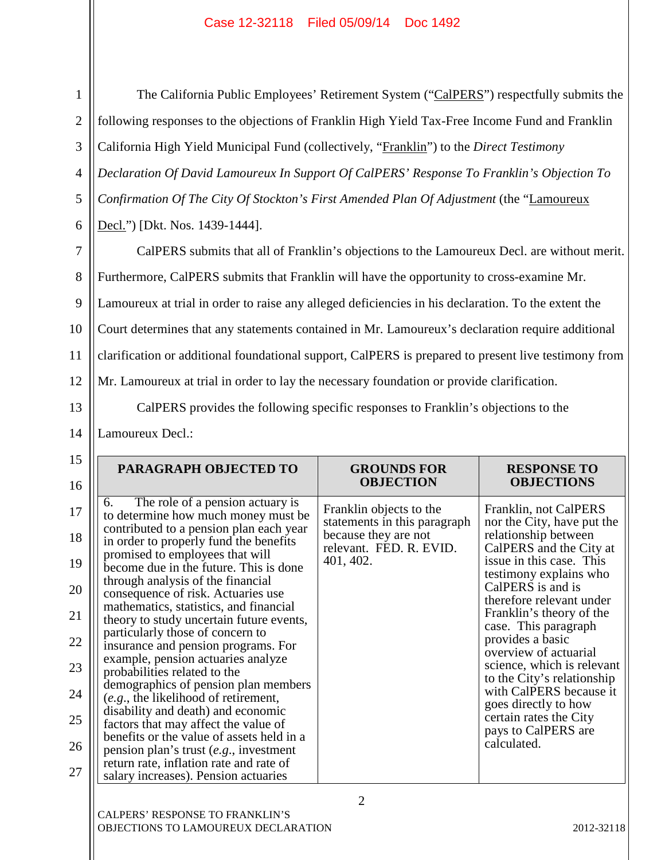6

7

8

9

10

11

1

The California Public Employees' Retirement System ("CalPERS") respectfully submits the following responses to the objections of Franklin High Yield Tax-Free Income Fund and Franklin California High Yield Municipal Fund (collectively, "Franklin") to the *Direct Testimony Declaration Of David Lamoureux In Support Of CalPERS' Response To Franklin's Objection To Confirmation Of The City Of Stockton's First Amended Plan Of Adjustment* (the "Lamoureux Decl.") [Dkt. Nos. 1439-1444].

12 CalPERS submits that all of Franklin's objections to the Lamoureux Decl. are without merit. Furthermore, CalPERS submits that Franklin will have the opportunity to cross-examine Mr. Lamoureux at trial in order to raise any alleged deficiencies in his declaration. To the extent the Court determines that any statements contained in Mr. Lamoureux's declaration require additional clarification or additional foundational support, CalPERS is prepared to present live testimony from Mr. Lamoureux at trial in order to lay the necessary foundation or provide clarification. CalPERS provides the following specific responses to Franklin's objections to the

14

13

Lamoureux Decl.:

| PARAGRAPH OBJECTED TO                                                                                                                                                                                                                                                                                                                                                                                                                                                                                                                                                                                                                                                                                                                                                                                                                                                                                       | <b>GROUNDS FOR</b><br><b>OBJECTION</b>                                                                                  | <b>RESPONSE TO</b><br><b>OBJECTIONS</b>                                                                                                                                                                                                                                                                                                                                                                                                                                                       |
|-------------------------------------------------------------------------------------------------------------------------------------------------------------------------------------------------------------------------------------------------------------------------------------------------------------------------------------------------------------------------------------------------------------------------------------------------------------------------------------------------------------------------------------------------------------------------------------------------------------------------------------------------------------------------------------------------------------------------------------------------------------------------------------------------------------------------------------------------------------------------------------------------------------|-------------------------------------------------------------------------------------------------------------------------|-----------------------------------------------------------------------------------------------------------------------------------------------------------------------------------------------------------------------------------------------------------------------------------------------------------------------------------------------------------------------------------------------------------------------------------------------------------------------------------------------|
| The role of a pension actuary is<br>6.<br>to determine how much money must be<br>contributed to a pension plan each year<br>in order to properly fund the benefits<br>promised to employees that will<br>become due in the future. This is done<br>through analysis of the financial<br>consequence of risk. Actuaries use<br>mathematics, statistics, and financial<br>theory to study uncertain future events,<br>particularly those of concern to<br>insurance and pension programs. For<br>example, pension actuaries analyze<br>probabilities related to the<br>demographics of pension plan members<br>(e.g., the likelihood of retirement,<br>disability and death) and economic<br>factors that may affect the value of<br>benefits or the value of assets held in a<br>pension plan's trust $(e.g.,$ investment<br>return rate, inflation rate and rate of<br>salary increases). Pension actuaries | Franklin objects to the<br>statements in this paragraph<br>because they are not<br>relevant. FED. R. EVID.<br>401, 402. | Franklin, not CalPERS<br>nor the City, have put the<br>relationship between<br>CalPERS and the City at<br>issue in this case. This<br>testimony explains who<br>CalPERS is and is<br>therefore relevant under<br>Franklin's theory of the<br>case. This paragraph<br>provides a basic<br>overview of actuarial<br>science, which is relevant<br>to the City's relationship<br>with CalPERS because it<br>goes directly to how<br>certain rates the City<br>pays to CalPERS are<br>calculated. |

OBJECTIONS TO LAMOUREUX DECLARATION 2012-32118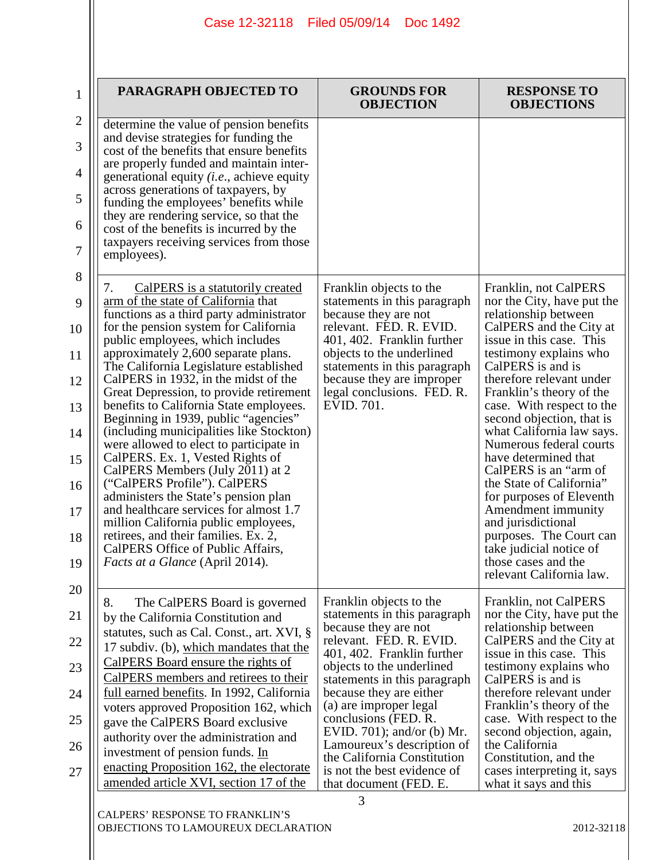| PARAGRAPH OBJECTED TO                                                                                                                                                                                                                                                                                                                                                                                                                                                                                                                                                                                                                                                                                                                                                                                                                                                                                  | <b>GROUNDS FOR</b><br><b>OBJECTION</b>                                                                                                                                                                                                                                                                                                                                                                                                 | <b>RESPONSE TO</b><br><b>OBJECTIONS</b>                                                                                                                                                                                                                                                                                                                                                                                                                                                                                                                                                                                   |
|--------------------------------------------------------------------------------------------------------------------------------------------------------------------------------------------------------------------------------------------------------------------------------------------------------------------------------------------------------------------------------------------------------------------------------------------------------------------------------------------------------------------------------------------------------------------------------------------------------------------------------------------------------------------------------------------------------------------------------------------------------------------------------------------------------------------------------------------------------------------------------------------------------|----------------------------------------------------------------------------------------------------------------------------------------------------------------------------------------------------------------------------------------------------------------------------------------------------------------------------------------------------------------------------------------------------------------------------------------|---------------------------------------------------------------------------------------------------------------------------------------------------------------------------------------------------------------------------------------------------------------------------------------------------------------------------------------------------------------------------------------------------------------------------------------------------------------------------------------------------------------------------------------------------------------------------------------------------------------------------|
| determine the value of pension benefits<br>and devise strategies for funding the<br>cost of the benefits that ensure benefits<br>are properly funded and maintain inter-<br>generational equity <i>(i.e.,</i> achieve equity<br>across generations of taxpayers, by<br>funding the employees' benefits while<br>they are rendering service, so that the<br>cost of the benefits is incurred by the<br>taxpayers receiving services from those<br>employees).                                                                                                                                                                                                                                                                                                                                                                                                                                           |                                                                                                                                                                                                                                                                                                                                                                                                                                        |                                                                                                                                                                                                                                                                                                                                                                                                                                                                                                                                                                                                                           |
| CalPERS is a statutorily created<br>7.<br>arm of the state of California that<br>functions as a third party administrator<br>for the pension system for California<br>public employees, which includes<br>approximately 2,600 separate plans.<br>The California Legislature established<br>CalPERS in 1932, in the midst of the<br>Great Depression, to provide retirement<br>benefits to California State employees.<br>Beginning in 1939, public "agencies"<br>(including municipalities like Stockton)<br>were allowed to elect to participate in<br>CalPERS. Ex. 1, Vested Rights of<br>CalPERS Members (July 2011) at 2<br>("CalPERS Profile"). CalPERS<br>administers the State's pension plan<br>and healthcare services for almost 1.7<br>million California public employees,<br>retirees, and their families. Ex. 2,<br>CalPERS Office of Public Affairs,<br>Facts at a Glance (April 2014). | Franklin objects to the<br>statements in this paragraph<br>because they are not<br>relevant. FED. R. EVID.<br>401, 402. Franklin further<br>objects to the underlined<br>statements in this paragraph<br>because they are improper<br>legal conclusions. FED. R.<br>EVID. 701.                                                                                                                                                         | Franklin, not CalPERS<br>nor the City, have put the<br>relationship between<br>CalPERS and the City at<br>issue in this case. This<br>testimony explains who<br>CalPERS is and is<br>therefore relevant under<br>Franklin's theory of the<br>case. With respect to the<br>second objection, that is<br>what California law says.<br>Numerous federal courts<br>have determined that<br>CalPERS is an "arm of<br>the State of California"<br>for purposes of Eleventh<br>Amendment immunity<br>and jurisdictional<br>purposes. The Court can<br>take judicial notice of<br>those cases and the<br>relevant California law. |
| 8.<br>The CalPERS Board is governed<br>by the California Constitution and<br>statutes, such as Cal. Const., art. XVI, §<br>17 subdiv. (b), which mandates that the<br>CalPERS Board ensure the rights of<br>CalPERS members and retirees to their<br>full earned benefits. In 1992, California<br>voters approved Proposition 162, which<br>gave the CalPERS Board exclusive<br>authority over the administration and<br>investment of pension funds. In<br>enacting Proposition 162, the electorate<br>amended article XVI, section 17 of the                                                                                                                                                                                                                                                                                                                                                         | Franklin objects to the<br>statements in this paragraph<br>because they are not<br>relevant. FED. R. EVID.<br>401, 402. Franklin further<br>objects to the underlined<br>statements in this paragraph<br>because they are either<br>(a) are improper legal<br>conclusions (FED. R.<br>EVID. 701); and/or (b) Mr.<br>Lamoureux's description of<br>the California Constitution<br>is not the best evidence of<br>that document (FED. E. | Franklin, not CalPERS<br>nor the City, have put the<br>relationship between<br>CalPERS and the City at<br>issue in this case. This<br>testimony explains who<br>CalPERS is and is<br>therefore relevant under<br>Franklin's theory of the<br>case. With respect to the<br>second objection, again,<br>the California<br>Constitution, and the<br>cases interpreting it, says<br>what it says and this                                                                                                                                                                                                                     |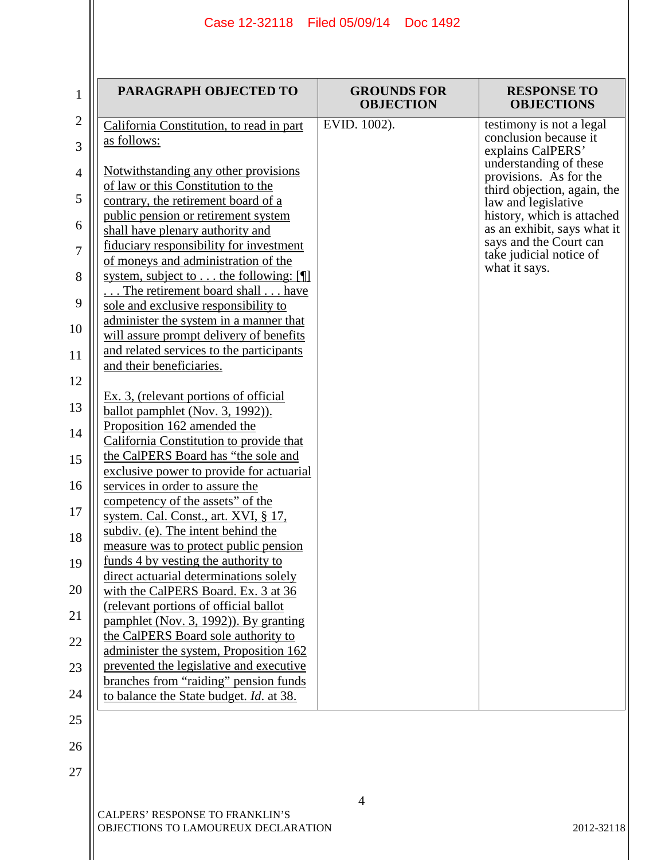| $\mathbf{1}$   | PARAGRAPH OBJECTED TO                                                         | <b>GROUNDS FOR</b><br><b>OBJECTION</b> | <b>RESPONSE TO</b><br><b>OBJECTIONS</b>                   |
|----------------|-------------------------------------------------------------------------------|----------------------------------------|-----------------------------------------------------------|
| $\overline{2}$ | California Constitution, to read in part                                      | EVID. 1002).                           | testimony is not a legal                                  |
| 3              | as follows:                                                                   |                                        | conclusion because it<br>explains CalPERS'                |
| 4              | Notwithstanding any other provisions                                          |                                        | understanding of these<br>provisions. As for the          |
|                | of law or this Constitution to the                                            |                                        | third objection, again, the                               |
| 5              | contrary, the retirement board of a                                           |                                        | law and legislative                                       |
| 6              | public pension or retirement system                                           |                                        | history, which is attached<br>as an exhibit, says what it |
|                | shall have plenary authority and<br>fiduciary responsibility for investment   |                                        | says and the Court can                                    |
| $\overline{7}$ | of moneys and administration of the                                           |                                        | take judicial notice of                                   |
| 8              | system, subject to the following: [¶]                                         |                                        | what it says.                                             |
|                | The retirement board shall  have                                              |                                        |                                                           |
| 9              | sole and exclusive responsibility to                                          |                                        |                                                           |
| 10             | administer the system in a manner that                                        |                                        |                                                           |
|                | will assure prompt delivery of benefits                                       |                                        |                                                           |
| 11             | and related services to the participants                                      |                                        |                                                           |
| 12             | and their beneficiaries.                                                      |                                        |                                                           |
|                | Ex. 3, (relevant portions of official                                         |                                        |                                                           |
| 13             | ballot pamphlet (Nov. 3, 1992)).                                              |                                        |                                                           |
|                | Proposition 162 amended the                                                   |                                        |                                                           |
| 14             | California Constitution to provide that                                       |                                        |                                                           |
| 15             | the CalPERS Board has "the sole and                                           |                                        |                                                           |
|                | exclusive power to provide for actuarial                                      |                                        |                                                           |
| 16             | services in order to assure the                                               |                                        |                                                           |
| 17             | competency of the assets" of the                                              |                                        |                                                           |
|                | system. Cal. Const., art. XVI, § 17,<br>subdiv. (e). The intent behind the    |                                        |                                                           |
| 18             | measure was to protect public pension                                         |                                        |                                                           |
| 19             | funds 4 by vesting the authority to                                           |                                        |                                                           |
|                | direct actuarial determinations solely                                        |                                        |                                                           |
| 20             | with the CalPERS Board. Ex. 3 at 36                                           |                                        |                                                           |
| 21             | (relevant portions of official ballot                                         |                                        |                                                           |
|                | pamphlet (Nov. 3, 1992)). By granting                                         |                                        |                                                           |
| 22             | the CalPERS Board sole authority to<br>administer the system, Proposition 162 |                                        |                                                           |
| 23             | prevented the legislative and executive                                       |                                        |                                                           |
|                | branches from "raiding" pension funds                                         |                                        |                                                           |
| 24             | to balance the State budget. <i>Id.</i> at 38.                                |                                        |                                                           |
| 25             |                                                                               |                                        |                                                           |
|                |                                                                               |                                        |                                                           |
| 26             |                                                                               |                                        |                                                           |
| 27             |                                                                               |                                        |                                                           |
|                |                                                                               |                                        |                                                           |

4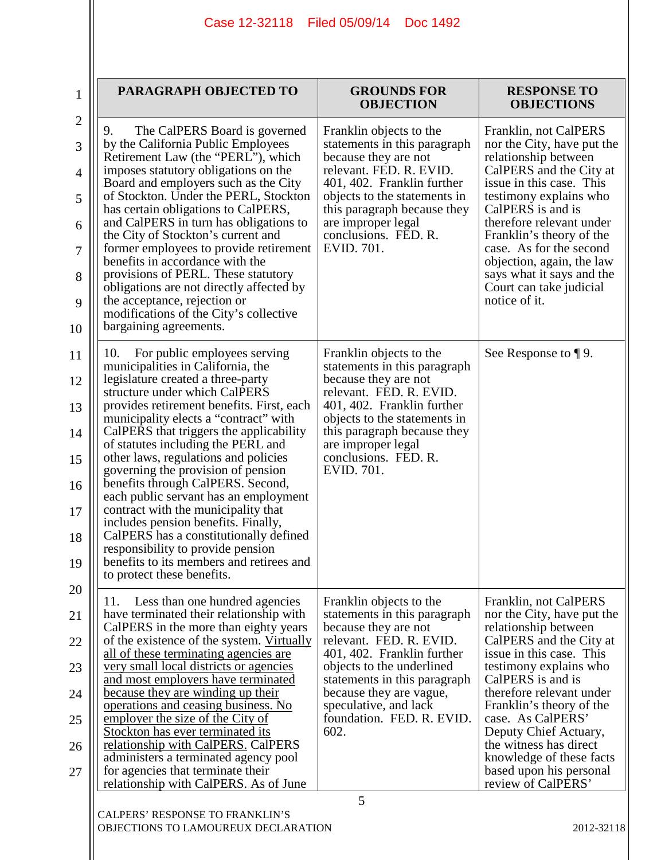| $\mathbf{1}$   |  |
|----------------|--|
| $\overline{2}$ |  |
| 3              |  |
| $\overline{4}$ |  |

| 1                             | PARAGRAPH OBJECTED TO                                                                                                                                                                                                                                                           | <b>GROUNDS FOR</b><br><b>OBJECTION</b>                                                                                                                                                                  | <b>RESPONSE TO</b><br><b>OBJECTIONS</b>                                                                                                                                           |
|-------------------------------|---------------------------------------------------------------------------------------------------------------------------------------------------------------------------------------------------------------------------------------------------------------------------------|---------------------------------------------------------------------------------------------------------------------------------------------------------------------------------------------------------|-----------------------------------------------------------------------------------------------------------------------------------------------------------------------------------|
| $\overline{2}$<br>3<br>4<br>5 | The CalPERS Board is governed<br>9.<br>by the California Public Employees<br>Retirement Law (the "PERL"), which<br>imposes statutory obligations on the<br>Board and employers such as the City<br>of Stockton. Under the PERL, Stockton<br>has certain obligations to CalPERS, | Franklin objects to the<br>statements in this paragraph<br>because they are not<br>relevant. FED. R. EVID.<br>401, 402. Franklin further<br>objects to the statements in<br>this paragraph because they | Franklin, not CalPERS<br>nor the City, have put the<br>relationship between<br>CalPERS and the City at<br>issue in this case. This<br>testimony explains who<br>CalPERS is and is |
| 6<br>7                        | and CalPERS in turn has obligations to<br>the City of Stockton's current and<br>former employees to provide retirement                                                                                                                                                          | are improper legal<br>conclusions. FED. R.<br>EVID. 701.                                                                                                                                                | therefore relevant under<br>Franklin's theory of the<br>case. As for the second                                                                                                   |
| 8                             | benefits in accordance with the<br>provisions of PERL. These statutory<br>obligations are not directly affected by<br>the acceptance, rejection or                                                                                                                              |                                                                                                                                                                                                         | objection, again, the law<br>says what it says and the<br>Court can take judicial<br>notice of it.                                                                                |
| 9<br>10                       | modifications of the City's collective<br>bargaining agreements.                                                                                                                                                                                                                |                                                                                                                                                                                                         |                                                                                                                                                                                   |
| 11                            | 10.<br>For public employees serving<br>municipalities in California, the                                                                                                                                                                                                        | Franklin objects to the<br>statements in this paragraph                                                                                                                                                 | See Response to $\P$ 9.                                                                                                                                                           |
| 12                            | legislature created a three-party<br>structure under which CalPERS                                                                                                                                                                                                              | because they are not<br>relevant. FED. R. EVID.                                                                                                                                                         |                                                                                                                                                                                   |
| 13<br>14                      | provides retirement benefits. First, each<br>municipality elects a "contract" with<br>CalPERS that triggers the applicability                                                                                                                                                   | 401, 402. Franklin further<br>objects to the statements in<br>this paragraph because they                                                                                                               |                                                                                                                                                                                   |
| 15                            | of statutes including the PERL and<br>other laws, regulations and policies                                                                                                                                                                                                      | are improper legal<br>conclusions. FED. R.                                                                                                                                                              |                                                                                                                                                                                   |
| 16                            | governing the provision of pension<br>benefits through CalPERS. Second,<br>each public servant has an employment                                                                                                                                                                | EVID. 701.                                                                                                                                                                                              |                                                                                                                                                                                   |
| 17                            | contract with the municipality that<br>includes pension benefits. Finally,                                                                                                                                                                                                      |                                                                                                                                                                                                         |                                                                                                                                                                                   |
| 18<br>19                      | CalPERS has a constitutionally defined<br>responsibility to provide pension<br>benefits to its members and retirees and                                                                                                                                                         |                                                                                                                                                                                                         |                                                                                                                                                                                   |
| 20                            | to protect these benefits.                                                                                                                                                                                                                                                      |                                                                                                                                                                                                         |                                                                                                                                                                                   |
| 21                            | Less than one hundred agencies<br>11.<br>have terminated their relationship with<br>CalPERS in the more than eighty years                                                                                                                                                       | Franklin objects to the<br>statements in this paragraph<br>because they are not                                                                                                                         | Franklin, not CalPERS<br>nor the City, have put the<br>relationship between                                                                                                       |
| 22                            | of the existence of the system. Virtually<br>all of these terminating agencies are                                                                                                                                                                                              | relevant. FED. R. EVID.<br>401, 402. Franklin further                                                                                                                                                   | CalPERS and the City at<br>issue in this case. This                                                                                                                               |
| 23                            | very small local districts or agencies<br>and most employers have terminated                                                                                                                                                                                                    | objects to the underlined<br>statements in this paragraph                                                                                                                                               | testimony explains who<br>CalPERS is and is                                                                                                                                       |
| 24<br>25                      | because they are winding up their<br>operations and ceasing business. No<br>employer the size of the City of                                                                                                                                                                    | because they are vague,<br>speculative, and lack<br>foundation. FED. R. EVID.                                                                                                                           | therefore relevant under<br>Franklin's theory of the<br>case. As CalPERS'                                                                                                         |
| 26                            | Stockton has ever terminated its<br>relationship with CalPERS. CalPERS                                                                                                                                                                                                          | 602.                                                                                                                                                                                                    | Deputy Chief Actuary,<br>the witness has direct                                                                                                                                   |
| 27                            | administers a terminated agency pool<br>for agencies that terminate their<br>relationship with CalPERS. As of June                                                                                                                                                              |                                                                                                                                                                                                         | knowledge of these facts<br>based upon his personal<br>review of CalPERS'                                                                                                         |
|                               |                                                                                                                                                                                                                                                                                 | 5                                                                                                                                                                                                       |                                                                                                                                                                                   |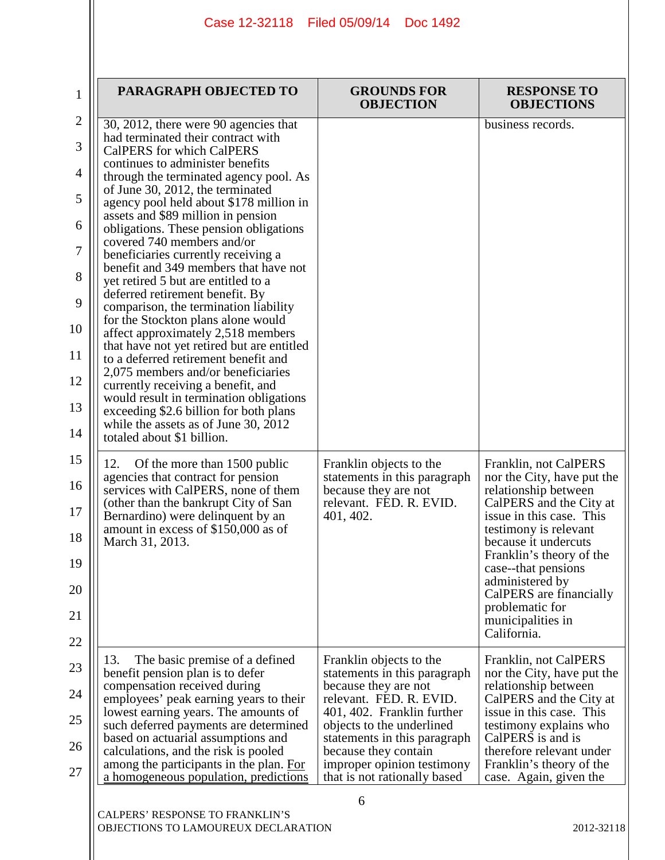| $\mathbf 1$  | PARAGRAPH OBJECTED TO                                                                                                    | <b>GROUNDS FOR</b><br><b>OBJECTION</b>                                             | <b>RESPONSE TO</b><br><b>OBJECTIONS</b>                                        |
|--------------|--------------------------------------------------------------------------------------------------------------------------|------------------------------------------------------------------------------------|--------------------------------------------------------------------------------|
| $\mathbf{2}$ | 30, 2012, there were 90 agencies that<br>had terminated their contract with                                              |                                                                                    | business records.                                                              |
| 3            | <b>CalPERS</b> for which CalPERS<br>continues to administer benefits                                                     |                                                                                    |                                                                                |
| 4            | through the terminated agency pool. As<br>of June 30, 2012, the terminated                                               |                                                                                    |                                                                                |
| 5            | agency pool held about \$178 million in<br>assets and \$89 million in pension                                            |                                                                                    |                                                                                |
| 6            | obligations. These pension obligations<br>covered 740 members and/or                                                     |                                                                                    |                                                                                |
| 7            | beneficiaries currently receiving a                                                                                      |                                                                                    |                                                                                |
| 8            | benefit and 349 members that have not<br>yet retired 5 but are entitled to a                                             |                                                                                    |                                                                                |
| 9            | deferred retirement benefit. By<br>comparison, the termination liability                                                 |                                                                                    |                                                                                |
| 10           | for the Stockton plans alone would<br>affect approximately 2,518 members                                                 |                                                                                    |                                                                                |
| 11           | that have not yet retired but are entitled<br>to a deferred retirement benefit and                                       |                                                                                    |                                                                                |
| 12           | 2,075 members and/or beneficiaries<br>currently receiving a benefit, and                                                 |                                                                                    |                                                                                |
| 13           | would result in termination obligations<br>exceeding \$2.6 billion for both plans                                        |                                                                                    |                                                                                |
| 14           | while the assets as of June 30, 2012<br>totaled about \$1 billion.                                                       |                                                                                    |                                                                                |
| 15           | 12.<br>Of the more than 1500 public                                                                                      | Franklin objects to the                                                            | Franklin, not CalPERS                                                          |
| 16<br>17     | agencies that contract for pension<br>services with CalPERS, none of them<br>(other than the bankrupt City of San        | statements in this paragraph<br>because they are not<br>relevant. FED. R. EVID.    | nor the City, have put the<br>relationship between<br>CalPERS and the City at  |
| 18           | Bernardino) were delinquent by an<br>amount in excess of \$150,000 as of                                                 | 401, 402.                                                                          | issue in this case. This<br>testimony is relevant                              |
|              | March 31, 2013.                                                                                                          |                                                                                    | because it undercuts<br>Franklin's theory of the                               |
| 19<br>20     |                                                                                                                          |                                                                                    | case--that pensions<br>administered by<br>CalPERS are financially              |
| 21           |                                                                                                                          |                                                                                    | problematic for<br>municipalities in                                           |
| 22           |                                                                                                                          |                                                                                    | California.                                                                    |
| 23           | 13.<br>The basic premise of a defined<br>benefit pension plan is to defer                                                | Franklin objects to the<br>statements in this paragraph                            | Franklin, not CalPERS<br>nor the City, have put the                            |
| 24           | compensation received during<br>employees' peak earning years to their                                                   | because they are not<br>relevant. FED. R. EVID.                                    | relationship between                                                           |
| 25           | lowest earning years. The amounts of                                                                                     | 401, 402. Franklin further                                                         | CalPERS and the City at<br>issue in this case. This                            |
| 26           | such deferred payments are determined<br>based on actuarial assumptions and                                              | objects to the underlined<br>statements in this paragraph                          | testimony explains who<br>CalPERS is and is                                    |
| 27           | calculations, and the risk is pooled<br>among the participants in the plan. For<br>a homogeneous population, predictions | because they contain<br>improper opinion testimony<br>that is not rationally based | therefore relevant under<br>Franklin's theory of the<br>case. Again, given the |
|              |                                                                                                                          | 6                                                                                  |                                                                                |
|              | CALPERS' RESPONSE TO FRANKLIN'S<br>OBJECTIONS TO LAMOUREUX DECLARATION                                                   |                                                                                    | 2012-32118                                                                     |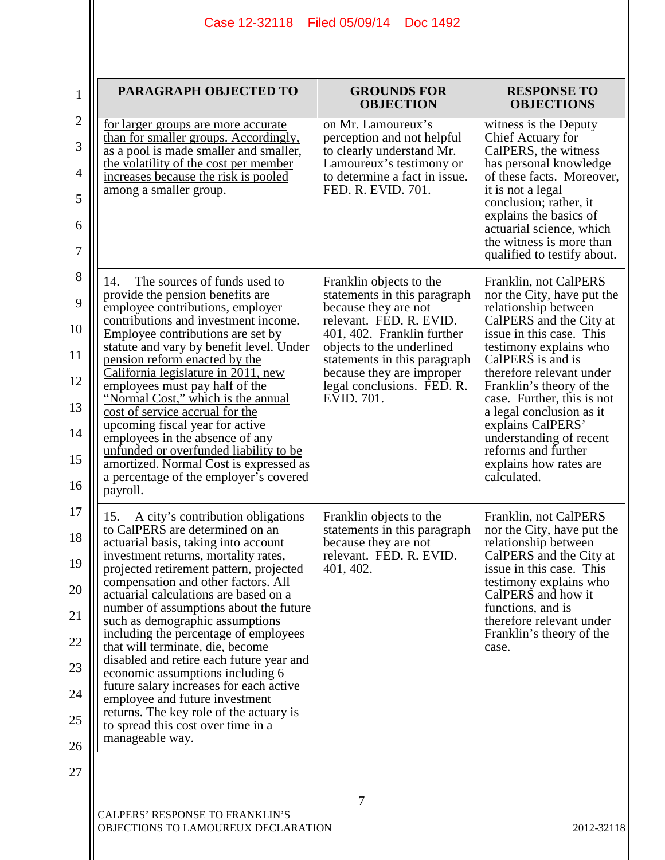| $\mathbf{1}$                                             | PARAGRAPH OBJECTED TO                                                                                                                                                                                                                                                                                                                                                                                                                                                                                                                                                                                                                                                                                             | <b>GROUNDS FOR</b><br><b>OBJECTION</b>                                                                                                                                                                                                                                         | <b>RESPONSE TO</b><br><b>OBJECTIONS</b>                                                                                                                                                                                                                                                                                                                                                                             |
|----------------------------------------------------------|-------------------------------------------------------------------------------------------------------------------------------------------------------------------------------------------------------------------------------------------------------------------------------------------------------------------------------------------------------------------------------------------------------------------------------------------------------------------------------------------------------------------------------------------------------------------------------------------------------------------------------------------------------------------------------------------------------------------|--------------------------------------------------------------------------------------------------------------------------------------------------------------------------------------------------------------------------------------------------------------------------------|---------------------------------------------------------------------------------------------------------------------------------------------------------------------------------------------------------------------------------------------------------------------------------------------------------------------------------------------------------------------------------------------------------------------|
| $\overline{2}$<br>3<br>$\overline{4}$<br>5<br>6<br>7     | <u>for larger groups are more accurate</u><br>than for smaller groups. Accordingly,<br>as a pool is made smaller and smaller,<br>the volatility of the cost per member<br>increases because the risk is pooled<br>among a smaller group.                                                                                                                                                                                                                                                                                                                                                                                                                                                                          | on Mr. Lamoureux's<br>perception and not helpful<br>to clearly understand Mr.<br>Lamoureux's testimony or<br>to determine a fact in issue.<br>FED. R. EVID. 701.                                                                                                               | witness is the Deputy<br>Chief Actuary for<br>CalPERS, the witness<br>has personal knowledge<br>of these facts. Moreover,<br>it is not a legal<br>conclusion; rather, it<br>explains the basics of<br>actuarial science, which<br>the witness is more than<br>qualified to testify about.                                                                                                                           |
| 8<br>9<br>10<br>11<br>12<br>13<br>14<br>15<br>16         | The sources of funds used to<br>14.<br>provide the pension benefits are<br>employee contributions, employer<br>contributions and investment income.<br>Employee contributions are set by<br>statute and vary by benefit level. Under<br><u>pension reform enacted by the</u><br>California legislature in 2011, new<br>employees must pay half of the<br>"Normal Cost," which is the annual<br>cost of service accrual for the<br>upcoming fiscal year for active<br>employees in the absence of any<br>unfunded or overfunded liability to be<br>amortized. Normal Cost is expressed as<br>a percentage of the employer's covered<br>payroll.                                                                    | Franklin objects to the<br>statements in this paragraph<br>because they are not<br>relevant. FED. R. EVID.<br>401, 402. Franklin further<br>objects to the underlined<br>statements in this paragraph<br>because they are improper<br>legal conclusions. FED. R.<br>EVID. 701. | Franklin, not CalPERS<br>nor the City, have put the<br>relationship between<br>CalPERS and the City at<br>issue in this case. This<br>testimony explains who<br>CalPERS is and is<br>therefore relevant under<br>Franklin's theory of the<br>case. Further, this is not<br>a legal conclusion as it<br>explains CalPERS'<br>understanding of recent<br>reforms and further<br>explains how rates are<br>calculated. |
| 17<br>18<br>19<br>20<br>21<br>22<br>23<br>24<br>25<br>26 | A city's contribution obligations<br>15.<br>to CalPERS are determined on an<br>actuarial basis, taking into account<br>investment returns, mortality rates.<br>projected retirement pattern, projected<br>compensation and other factors. All<br>actuarial calculations are based on a<br>number of assumptions about the future<br>such as demographic assumptions<br>including the percentage of employees<br>that will terminate, die, become<br>disabled and retire each future year and<br>economic assumptions including 6<br>future salary increases for each active<br>employee and future investment<br>returns. The key role of the actuary is<br>to spread this cost over time in a<br>manageable way. | Franklin objects to the<br>statements in this paragraph<br>because they are not<br>relevant. FED. R. EVID<br>401, 402.                                                                                                                                                         | Franklin, not CalPERS<br>nor the City, have put the<br>relationship between<br>CalPERS and the City at<br>issue in this case. This<br>testimony explains who<br>CalPERS and how it<br>functions, and is<br>therefore relevant under<br>Franklin's theory of the<br>case.                                                                                                                                            |
| 27                                                       |                                                                                                                                                                                                                                                                                                                                                                                                                                                                                                                                                                                                                                                                                                                   |                                                                                                                                                                                                                                                                                |                                                                                                                                                                                                                                                                                                                                                                                                                     |

7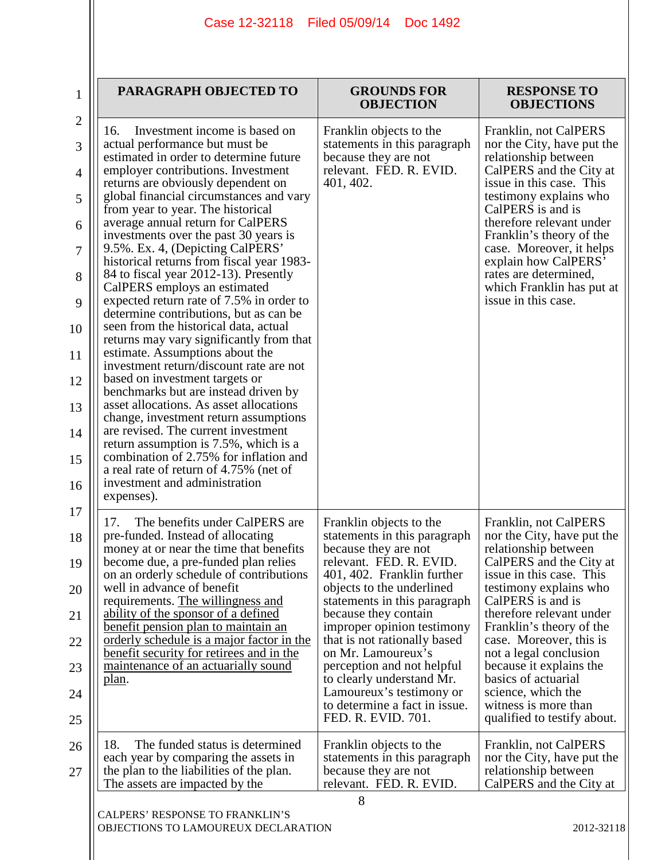| PARAGRAPH OBJECTED TO                                                                                                  | <b>GROUNDS FOR</b><br><b>OBJECTION</b>                                          | <b>RESPONSE TO</b><br><b>OBJECTIONS</b>                                       |
|------------------------------------------------------------------------------------------------------------------------|---------------------------------------------------------------------------------|-------------------------------------------------------------------------------|
| Investment income is based on<br>16.<br>actual performance but must be                                                 | Franklin objects to the<br>statements in this paragraph                         | Franklin, not CalPERS<br>nor the City, have put the                           |
| estimated in order to determine future<br>employer contributions. Investment                                           | because they are not<br>relevant. FED. R. EVID.                                 | relationship between<br>CalPERS and the City at                               |
| returns are obviously dependent on<br>global financial circumstances and vary                                          | 401, 402.                                                                       | issue in this case. This<br>testimony explains who                            |
| from year to year. The historical<br>average annual return for CalPERS                                                 |                                                                                 | CalPERS is and is<br>therefore relevant under                                 |
| investments over the past 30 years is<br>9.5%. Ex. 4, (Depicting CalPERS'<br>historical returns from fiscal year 1983- |                                                                                 | Franklin's theory of the<br>case. Moreover, it helps<br>explain how CalPERS'  |
| 84 to fiscal year 2012-13). Presently<br>CalPERS employs an estimated                                                  |                                                                                 | rates are determined,<br>which Franklin has put at                            |
| expected return rate of 7.5% in order to<br>determine contributions, but as can be                                     |                                                                                 | issue in this case.                                                           |
| seen from the historical data, actual<br>returns may vary significantly from that                                      |                                                                                 |                                                                               |
| estimate. Assumptions about the<br>investment return/discount rate are not                                             |                                                                                 |                                                                               |
| based on investment targets or<br>benchmarks but are instead driven by                                                 |                                                                                 |                                                                               |
| asset allocations. As asset allocations<br>change, investment return assumptions                                       |                                                                                 |                                                                               |
| are revised. The current investment<br>return assumption is 7.5%, which is a                                           |                                                                                 |                                                                               |
| combination of 2.75% for inflation and<br>a real rate of return of 4.75% (net of                                       |                                                                                 |                                                                               |
| investment and administration<br>expenses).                                                                            |                                                                                 |                                                                               |
| The benefits under CalPERS are<br>17.                                                                                  | Franklin objects to the                                                         | Franklin, not CalPERS                                                         |
| pre-funded. Instead of allocating<br>money at or near the time that benefits<br>become due, a pre-funded plan relies   | statements in this paragraph<br>because they are not<br>relevant. FED. R. EVID. | nor the City, have put the<br>relationship between<br>CalPERS and the City at |
| on an orderly schedule of contributions<br>well in advance of benefit                                                  | 401, 402. Franklin further<br>objects to the underlined                         | issue in this case. This<br>testimony explains who                            |
| requirements. The willingness and<br>ability of the sponsor of a defined                                               | statements in this paragraph<br>because they contain                            | CalPERS is and is<br>therefore relevant under                                 |
| benefit pension plan to maintain an<br>orderly schedule is a major factor in the                                       | improper opinion testimony<br>that is not rationally based                      | Franklin's theory of the<br>case. Moreover, this is                           |
| benefit security for retirees and in the<br>maintenance of an actuarially sound                                        | on Mr. Lamoureux's<br>perception and not helpful                                | not a legal conclusion<br>because it explains the                             |
| plan.                                                                                                                  | to clearly understand Mr.<br>Lamoureux's testimony or                           | basics of actuarial<br>science, which the                                     |
|                                                                                                                        | to determine a fact in issue.<br>FED. R. EVID. 701.                             | witness is more than<br>qualified to testify about.                           |
| 18.<br>The funded status is determined                                                                                 | Franklin objects to the                                                         | Franklin, not CalPERS                                                         |
| each year by comparing the assets in<br>the plan to the liabilities of the plan.<br>The assets are impacted by the     | statements in this paragraph<br>because they are not<br>relevant. FED. R. EVID. | nor the City, have put the<br>relationship between<br>CalPERS and the City at |
|                                                                                                                        | 8                                                                               |                                                                               |
| CALPERS' RESPONSE TO FRANKLIN'S<br>OBJECTIONS TO LAMOUREUX DECLARATION                                                 |                                                                                 | 2012-32118                                                                    |
|                                                                                                                        |                                                                                 |                                                                               |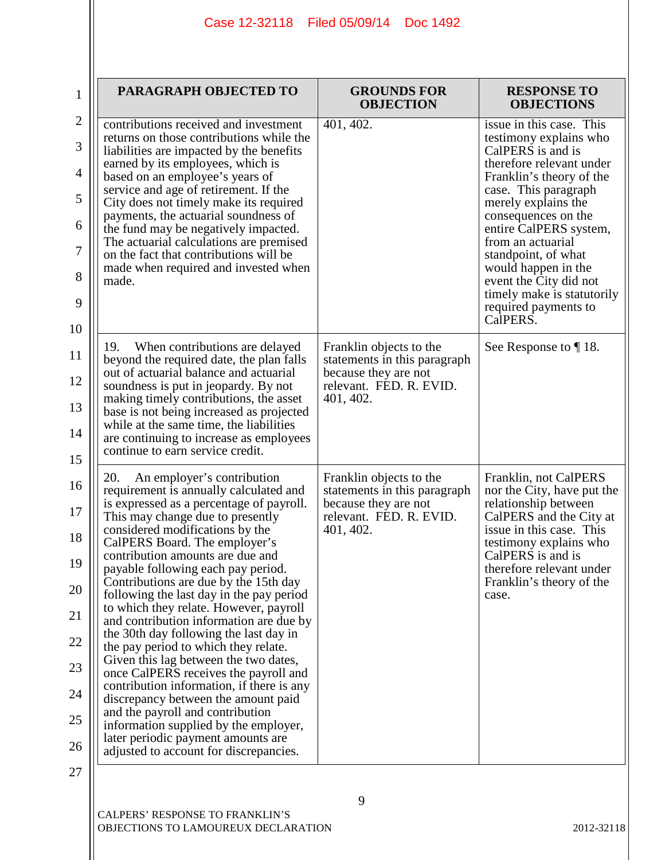| $\mathbf{1}$                                                            | PARAGRAPH OBJECTED TO                                                                                                                                                                                                                                                                                                                                                                                                                                                                                                                                                                                                                                                                                                                                                                                                                                                                                    | <b>GROUNDS FOR</b><br><b>OBJECTION</b>                                                                                  | <b>RESPONSE TO</b><br><b>OBJECTIONS</b>                                                                                                                                                                                                                                                                                                                                                        |
|-------------------------------------------------------------------------|----------------------------------------------------------------------------------------------------------------------------------------------------------------------------------------------------------------------------------------------------------------------------------------------------------------------------------------------------------------------------------------------------------------------------------------------------------------------------------------------------------------------------------------------------------------------------------------------------------------------------------------------------------------------------------------------------------------------------------------------------------------------------------------------------------------------------------------------------------------------------------------------------------|-------------------------------------------------------------------------------------------------------------------------|------------------------------------------------------------------------------------------------------------------------------------------------------------------------------------------------------------------------------------------------------------------------------------------------------------------------------------------------------------------------------------------------|
| $\mathbf{2}$<br>3<br>$\overline{4}$<br>5<br>6<br>$\tau$<br>8<br>9<br>10 | contributions received and investment<br>returns on those contributions while the<br>liabilities are impacted by the benefits<br>earned by its employees, which is<br>based on an employee's years of<br>service and age of retirement. If the<br>City does not timely make its required<br>payments, the actuarial soundness of<br>the fund may be negatively impacted.<br>The actuarial calculations are premised<br>on the fact that contributions will be<br>made when required and invested when<br>made.                                                                                                                                                                                                                                                                                                                                                                                           | 401, 402.                                                                                                               | issue in this case. This<br>testimony explains who<br>CalPERS is and is<br>therefore relevant under<br>Franklin's theory of the<br>case. This paragraph<br>merely explains the<br>consequences on the<br>entire CalPERS system,<br>from an actuarial<br>standpoint, of what<br>would happen in the<br>event the City did not<br>timely make is statutorily<br>required payments to<br>CalPERS. |
| 11<br>12<br>13<br>14<br>15                                              | 19.<br>When contributions are delayed<br>beyond the required date, the plan falls<br>out of actuarial balance and actuarial<br>soundness is put in jeopardy. By not<br>making timely contributions, the asset<br>base is not being increased as projected<br>while at the same time, the liabilities<br>are continuing to increase as employees<br>continue to earn service credit.                                                                                                                                                                                                                                                                                                                                                                                                                                                                                                                      | Franklin objects to the<br>statements in this paragraph<br>because they are not<br>relevant. FED. R. EVID.<br>401, 402. | See Response to $\P$ 18.                                                                                                                                                                                                                                                                                                                                                                       |
| 16<br>17<br>18<br>19<br>20<br>21<br>22<br>23<br>24<br>25<br>26<br>27    | 20.<br>An employer's contribution<br>requirement is annually calculated and<br>is expressed as a percentage of payroll.<br>This may change due to presently<br>considered modifications by the<br>CalPERS Board. The employer's<br>contribution amounts are due and<br>payable following each pay period.<br>Contributions are due by the 15th day<br>following the last day in the pay period<br>to which they relate. However, payroll<br>and contribution information are due by<br>the 30th day following the last day in<br>the pay period to which they relate.<br>Given this lag between the two dates,<br>once CalPERS receives the payroll and<br>contribution information, if there is any<br>discrepancy between the amount paid<br>and the payroll and contribution<br>information supplied by the employer,<br>later periodic payment amounts are<br>adjusted to account for discrepancies. | Franklin objects to the<br>statements in this paragraph<br>because they are not<br>relevant. FED. R. EVID.<br>401, 402. | Franklin, not CalPERS<br>nor the City, have put the<br>relationship between<br>CalPERS and the City at<br>issue in this case. This<br>testimony explains who<br>CalPERS is and is<br>therefore relevant under<br>Franklin's theory of the<br>case.                                                                                                                                             |

9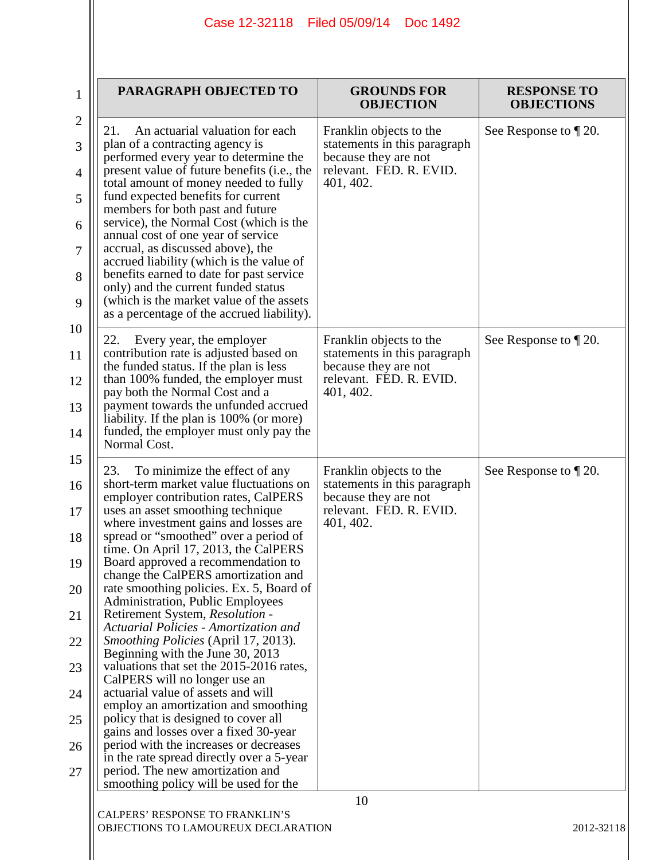| $\mathbf 1$    | PARAGRAPH OBJECTED TO                                                                                                   | <b>GROUNDS FOR</b><br><b>OBJECTION</b>                                          | <b>RESPONSE TO</b><br><b>OBJECTIONS</b> |
|----------------|-------------------------------------------------------------------------------------------------------------------------|---------------------------------------------------------------------------------|-----------------------------------------|
| $\mathbf{2}$   | An actuarial valuation for each<br>21.                                                                                  | Franklin objects to the                                                         | See Response to $\P$ 20.                |
| 3              | plan of a contracting agency is<br>performed every year to determine the                                                | statements in this paragraph<br>because they are not                            |                                         |
| $\overline{4}$ | present value of future benefits (i.e., the<br>total amount of money needed to fully                                    | relevant. FED. R. EVID.<br>401, 402.                                            |                                         |
| 5              | fund expected benefits for current<br>members for both past and future                                                  |                                                                                 |                                         |
| 6              | service), the Normal Cost (which is the<br>annual cost of one year of service                                           |                                                                                 |                                         |
| 7              | accrual, as discussed above), the<br>accrued liability (which is the value of                                           |                                                                                 |                                         |
| 8              | benefits earned to date for past service<br>only) and the current funded status                                         |                                                                                 |                                         |
| 9              | (which is the market value of the assets<br>as a percentage of the accrued liability).                                  |                                                                                 |                                         |
| 10             | 22.<br>Every year, the employer                                                                                         | Franklin objects to the                                                         | See Response to $\P$ 20.                |
| 11             | contribution rate is adjusted based on<br>the funded status. If the plan is less<br>than 100% funded, the employer must | statements in this paragraph<br>because they are not<br>relevant. FED. R. EVID. |                                         |
| 12<br>13       | pay both the Normal Cost and a<br>payment towards the unfunded accrued                                                  | 401, 402.                                                                       |                                         |
| 14             | liability. If the plan is 100% (or more)<br>funded, the employer must only pay the                                      |                                                                                 |                                         |
| 15             | Normal Cost.                                                                                                            |                                                                                 |                                         |
| 16             | 23.<br>To minimize the effect of any<br>short-term market value fluctuations on                                         | Franklin objects to the<br>statements in this paragraph                         | See Response to $\P$ 20.                |
| 17             | employer contribution rates, CalPERS<br>uses an asset smoothing technique                                               | because they are not<br>relevant. FED. R. EVID.                                 |                                         |
| 18             | where investment gains and losses are<br>spread or "smoothed" over a period of                                          | 401, 402.                                                                       |                                         |
| 19             | time. On April 17, 2013, the CalPERS<br>Board approved a recommendation to                                              |                                                                                 |                                         |
| 20             | change the CalPERS amortization and<br>rate smoothing policies. Ex. 5, Board of                                         |                                                                                 |                                         |
| 21             | Administration, Public Employees<br>Retirement System, Resolution -                                                     |                                                                                 |                                         |
| 22             | Actuarial Policies - Amortization and<br><i>Smoothing Policies</i> (April 17, 2013).                                    |                                                                                 |                                         |
| 23             | Beginning with the June 30, 2013<br>valuations that set the 2015-2016 rates,                                            |                                                                                 |                                         |
| 24             | CalPERS will no longer use an<br>actuarial value of assets and will                                                     |                                                                                 |                                         |
| 25             | employ an amortization and smoothing<br>policy that is designed to cover all                                            |                                                                                 |                                         |
| 26             | gains and losses over a fixed 30-year<br>period with the increases or decreases                                         |                                                                                 |                                         |
| 27             | in the rate spread directly over a 5-year<br>period. The new amortization and                                           |                                                                                 |                                         |
|                | smoothing policy will be used for the                                                                                   | 10                                                                              |                                         |

 $\mathsf{I}$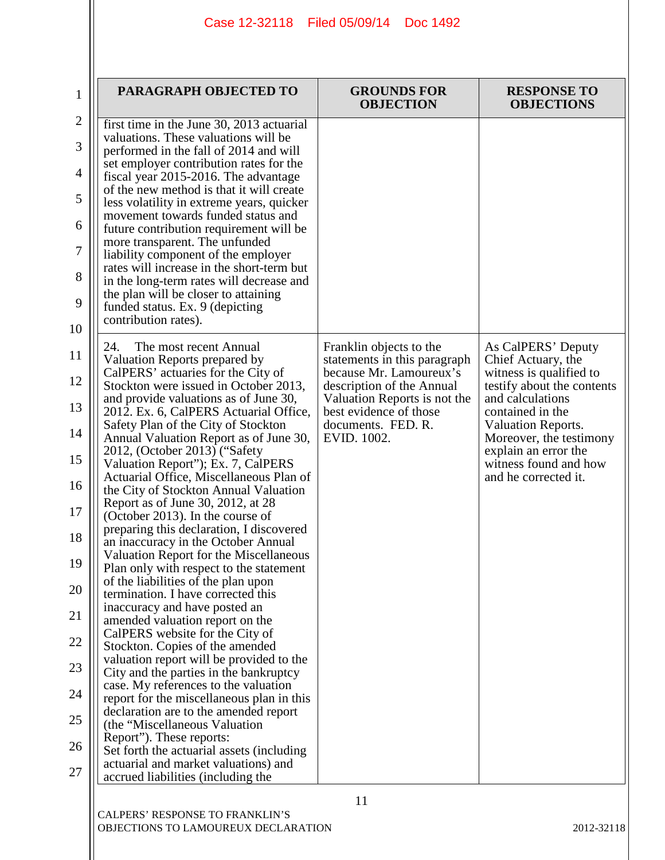| $\mathbf 1$    | PARAGRAPH OBJECTED TO                                                                                                   | <b>GROUNDS FOR</b><br><b>OBJECTION</b>                    | <b>RESPONSE TO</b><br><b>OBJECTIONS</b>         |
|----------------|-------------------------------------------------------------------------------------------------------------------------|-----------------------------------------------------------|-------------------------------------------------|
| $\mathbf{2}$   | first time in the June 30, 2013 actuarial<br>valuations. These valuations will be                                       |                                                           |                                                 |
| 3              | performed in the fall of 2014 and will                                                                                  |                                                           |                                                 |
| 4              | set employer contribution rates for the<br>fiscal year 2015-2016. The advantage                                         |                                                           |                                                 |
| 5              | of the new method is that it will create<br>less volatility in extreme years, quicker                                   |                                                           |                                                 |
| 6              | movement towards funded status and<br>future contribution requirement will be                                           |                                                           |                                                 |
| $\overline{7}$ | more transparent. The unfunded<br>liability component of the employer                                                   |                                                           |                                                 |
| 8              | rates will increase in the short-term but<br>in the long-term rates will decrease and                                   |                                                           |                                                 |
| 9              | the plan will be closer to attaining<br>funded status. Ex. 9 (depicting                                                 |                                                           |                                                 |
| 10             | contribution rates).                                                                                                    |                                                           |                                                 |
| 11             | 24.<br>The most recent Annual                                                                                           | Franklin objects to the                                   | As CalPERS' Deputy                              |
| 12             | Valuation Reports prepared by<br>CalPERS' actuaries for the City of                                                     | statements in this paragraph<br>because Mr. Lamoureux's   | Chief Actuary, the<br>witness is qualified to   |
| 13             | Stockton were issued in October 2013,<br>and provide valuations as of June 30,                                          | description of the Annual<br>Valuation Reports is not the | testify about the contents<br>and calculations  |
|                | 2012. Ex. 6, CalPERS Actuarial Office,<br>Safety Plan of the City of Stockton                                           | best evidence of those<br>documents. FED. R.              | contained in the<br><b>Valuation Reports.</b>   |
| 14             | Annual Valuation Report as of June 30,<br>2012, (October 2013) ("Safety"                                                | EVID. 1002.                                               | Moreover, the testimony<br>explain an error the |
| 15             | Valuation Report"); Ex. 7, CalPERS<br>Actuarial Office, Miscellaneous Plan of                                           |                                                           | witness found and how<br>and he corrected it.   |
| 16             | the City of Stockton Annual Valuation<br>Report as of June 30, 2012, at 28                                              |                                                           |                                                 |
| 17             | (October 2013). In the course of<br>preparing this declaration, I discovered                                            |                                                           |                                                 |
| 18             | an inaccuracy in the October Annual                                                                                     |                                                           |                                                 |
| 19             | Valuation Report for the Miscellaneous<br>Plan only with respect to the statement                                       |                                                           |                                                 |
| 20             | of the liabilities of the plan upon<br>termination. I have corrected this                                               |                                                           |                                                 |
| 21             | inaccuracy and have posted an<br>amended valuation report on the                                                        |                                                           |                                                 |
| 22             | CalPERS website for the City of<br>Stockton. Copies of the amended                                                      |                                                           |                                                 |
| 23             | valuation report will be provided to the<br>City and the parties in the bankruptcy                                      |                                                           |                                                 |
| 24             | case. My references to the valuation<br>report for the miscellaneous plan in this                                       |                                                           |                                                 |
| 25             | declaration are to the amended report<br>(the "Miscellaneous Valuation")                                                |                                                           |                                                 |
| 26             | Report"). These reports:                                                                                                |                                                           |                                                 |
| 27             | Set forth the actuarial assets (including<br>actuarial and market valuations) and<br>accrued liabilities (including the |                                                           |                                                 |
|                | CALPERS' RESPONSE TO FRANKLIN'S                                                                                         | 11                                                        |                                                 |

OBJECTIONS TO LAMOUREUX DECLARATION 2012-32118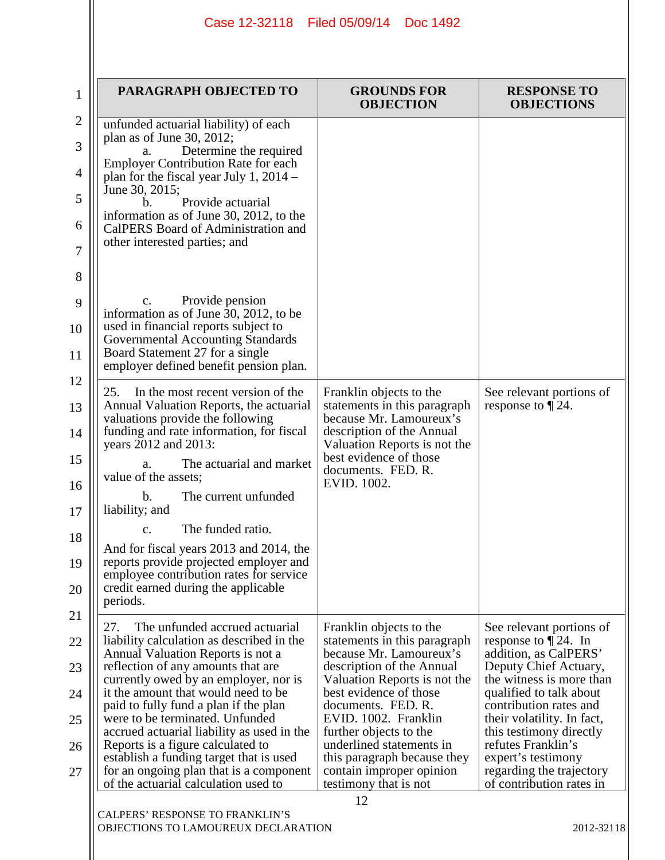| PARAGRAPH OBJECTED TO                                                                                                                                                                                                                                                                                                                                                                                                                                                                                                                      | <b>GROUNDS FOR</b><br><b>OBJECTION</b>                                                                                                                                                                                                                                                                                                                                  | <b>RESPONSE TO</b><br><b>OBJECTIONS</b>                                                                                                                                                                                                                                                                                                             |
|--------------------------------------------------------------------------------------------------------------------------------------------------------------------------------------------------------------------------------------------------------------------------------------------------------------------------------------------------------------------------------------------------------------------------------------------------------------------------------------------------------------------------------------------|-------------------------------------------------------------------------------------------------------------------------------------------------------------------------------------------------------------------------------------------------------------------------------------------------------------------------------------------------------------------------|-----------------------------------------------------------------------------------------------------------------------------------------------------------------------------------------------------------------------------------------------------------------------------------------------------------------------------------------------------|
| unfunded actuarial liability) of each<br>plan as of June 30, 2012;<br>Determine the required<br>a.<br><b>Employer Contribution Rate for each</b><br>plan for the fiscal year July 1, $2014 -$<br>June 30, 2015;<br>Provide actuarial<br>b.<br>information as of June 30, 2012, to the<br>CalPERS Board of Administration and<br>other interested parties; and                                                                                                                                                                              |                                                                                                                                                                                                                                                                                                                                                                         |                                                                                                                                                                                                                                                                                                                                                     |
| Provide pension<br>C.<br>information as of June 30, 2012, to be<br>used in financial reports subject to<br>Governmental Accounting Standards<br>Board Statement 27 for a single<br>employer defined benefit pension plan.                                                                                                                                                                                                                                                                                                                  |                                                                                                                                                                                                                                                                                                                                                                         |                                                                                                                                                                                                                                                                                                                                                     |
| 25.<br>In the most recent version of the<br>Annual Valuation Reports, the actuarial<br>valuations provide the following<br>funding and rate information, for fiscal<br>years 2012 and 2013:<br>The actuarial and market<br>a.<br>value of the assets;<br>The current unfunded<br>b.<br>liability; and<br>The funded ratio.<br>$\mathbf{C}$ .<br>And for fiscal years 2013 and 2014, the<br>reports provide projected employer and<br>employee contribution rates for service<br>credit earned during the applicable<br>periods.            | Franklin objects to the<br>statements in this paragraph<br>because Mr. Lamoureux's<br>description of the Annual<br>Valuation Reports is not the<br>best evidence of those<br>documents. FED. R.<br>EVID. 1002.                                                                                                                                                          | See relevant portions of<br>response to $\P$ 24.                                                                                                                                                                                                                                                                                                    |
| The unfunded accrued actuarial<br>27.<br>liability calculation as described in the<br>Annual Valuation Reports is not a<br>reflection of any amounts that are<br>currently owed by an employer, nor is<br>it the amount that would need to be<br>paid to fully fund a plan if the plan<br>were to be terminated. Unfunded<br>accrued actuarial liability as used in the<br>Reports is a figure calculated to<br>establish a funding target that is used<br>for an ongoing plan that is a component<br>of the actuarial calculation used to | Franklin objects to the<br>statements in this paragraph<br>because Mr. Lamoureux's<br>description of the Annual<br>Valuation Reports is not the<br>best evidence of those<br>documents. FED. R.<br>EVID. 1002. Franklin<br>further objects to the<br>underlined statements in<br>this paragraph because they<br>contain improper opinion<br>testimony that is not<br>12 | See relevant portions of<br>response to $\P$ 24. In<br>addition, as CalPERS'<br>Deputy Chief Actuary,<br>the witness is more than<br>qualified to talk about<br>contribution rates and<br>their volatility. In fact,<br>this testimony directly<br>refutes Franklin's<br>expert's testimony<br>regarding the trajectory<br>of contribution rates in |

OBJECTIONS TO LAMOUREUX DECLARATION 2012-32118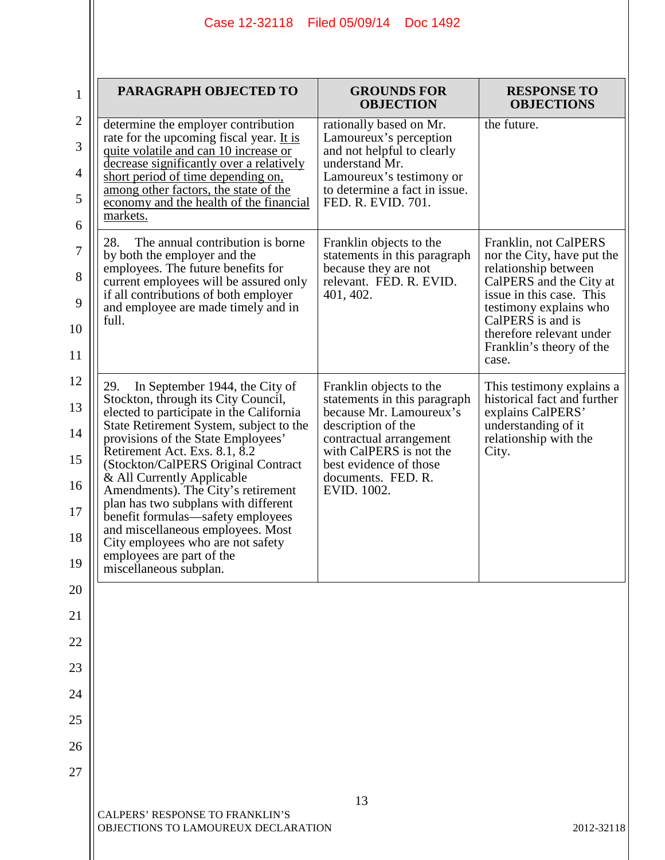| $\mathbf 1$                                   | PARAGRAPH OBJECTED TO                                                                                                                                                                                                                                                                                                                                                                                                                                                                                                                                                | <b>GROUNDS FOR</b><br><b>OBJECTION</b>                                                                                                                                                                                        | <b>RESPONSE TO</b><br><b>OBJECTIONS</b>                                                                                                                                                                                                            |
|-----------------------------------------------|----------------------------------------------------------------------------------------------------------------------------------------------------------------------------------------------------------------------------------------------------------------------------------------------------------------------------------------------------------------------------------------------------------------------------------------------------------------------------------------------------------------------------------------------------------------------|-------------------------------------------------------------------------------------------------------------------------------------------------------------------------------------------------------------------------------|----------------------------------------------------------------------------------------------------------------------------------------------------------------------------------------------------------------------------------------------------|
| $\mathbf{2}$<br>3<br>$\overline{4}$<br>5<br>6 | determine the employer contribution<br>rate for the upcoming fiscal year. It is<br>quite volatile and can 10 increase or<br>decrease significantly over a relatively<br>short period of time depending on,<br>among other factors, the state of the<br>economy and the health of the financial<br>markets.                                                                                                                                                                                                                                                           | rationally based on Mr.<br>Lamoureux's perception<br>and not helpful to clearly<br>understand Mr.<br>Lamoureux's testimony or<br>to determine a fact in issue.<br>FED. R. EVID. 701.                                          | the future.                                                                                                                                                                                                                                        |
| $\tau$<br>8<br>9<br>10<br>11                  | 28.<br>The annual contribution is borne<br>by both the employer and the<br>employees. The future benefits for<br>current employees will be assured only<br>if all contributions of both employer<br>and employee are made timely and in<br>full.                                                                                                                                                                                                                                                                                                                     | Franklin objects to the<br>statements in this paragraph<br>because they are not<br>relevant. FED. R. EVID.<br>401, 402.                                                                                                       | Franklin, not CalPERS<br>nor the City, have put the<br>relationship between<br>CalPERS and the City at<br>issue in this case. This<br>testimony explains who<br>CalPERS is and is<br>therefore relevant under<br>Franklin's theory of the<br>case. |
| 12<br>13<br>14<br>15<br>16<br>17<br>18<br>19  | 29.<br>In September 1944, the City of<br>Stockton, through its City Council,<br>elected to participate in the California<br>State Retirement System, subject to the<br>provisions of the State Employees'<br>Retirement Act. Exs. 8.1, 8.2<br>(Stockton/CalPERS Original Contract)<br>& All Currently Applicable<br>Amendments). The City's retirement<br>plan has two subplans with different<br>benefit formulas—safety employees<br>and miscellaneous employees. Most<br>City employees who are not safety<br>employees are part of the<br>miscellaneous subplan. | Franklin objects to the<br>statements in this paragraph<br>because Mr. Lamoureux's<br>description of the<br>contractual arrangement<br>with CalPERS is not the<br>best evidence of those<br>documents. FED. R.<br>EVID. 1002. | This testimony explains a<br>historical fact and further<br>explains CalPERS'<br>understanding of it<br>relationship with the<br>City.                                                                                                             |
| 20                                            |                                                                                                                                                                                                                                                                                                                                                                                                                                                                                                                                                                      |                                                                                                                                                                                                                               |                                                                                                                                                                                                                                                    |
| 21                                            |                                                                                                                                                                                                                                                                                                                                                                                                                                                                                                                                                                      |                                                                                                                                                                                                                               |                                                                                                                                                                                                                                                    |
| 22                                            |                                                                                                                                                                                                                                                                                                                                                                                                                                                                                                                                                                      |                                                                                                                                                                                                                               |                                                                                                                                                                                                                                                    |
| 23                                            |                                                                                                                                                                                                                                                                                                                                                                                                                                                                                                                                                                      |                                                                                                                                                                                                                               |                                                                                                                                                                                                                                                    |
| 24<br>25                                      |                                                                                                                                                                                                                                                                                                                                                                                                                                                                                                                                                                      |                                                                                                                                                                                                                               |                                                                                                                                                                                                                                                    |
| 26                                            |                                                                                                                                                                                                                                                                                                                                                                                                                                                                                                                                                                      |                                                                                                                                                                                                                               |                                                                                                                                                                                                                                                    |
| 27                                            |                                                                                                                                                                                                                                                                                                                                                                                                                                                                                                                                                                      |                                                                                                                                                                                                                               |                                                                                                                                                                                                                                                    |
|                                               | <b>CALPERS' RESPONSE TO FRANKLIN'S</b><br>OBJECTIONS TO LAMOUREUX DECLARATION                                                                                                                                                                                                                                                                                                                                                                                                                                                                                        | 13                                                                                                                                                                                                                            | 2012-32118                                                                                                                                                                                                                                         |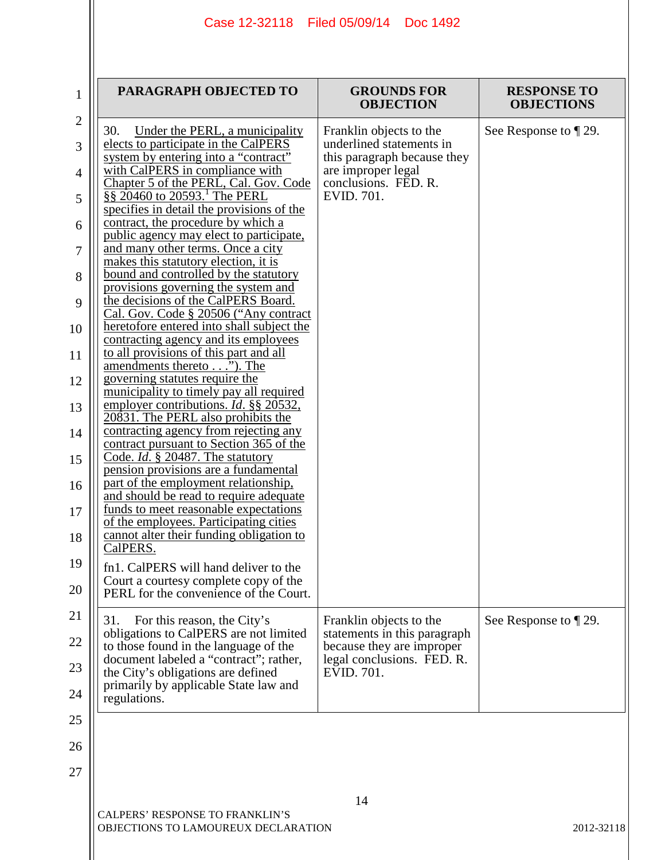| Case 12-32118 | Filed 05/09/14 | Doc 1492 |
|---------------|----------------|----------|
|---------------|----------------|----------|

| Under the PERL, a municipality<br>Franklin objects to the<br>underlined statements in<br>this paragraph because they<br>are improper legal<br>conclusions. FED. R.<br>Chapter 5 of the PERL, Cal. Gov. Code<br>$\frac{88}{9}$ 20460 to 20593. The PERL<br>EVID. 701.<br>Franklin objects to the<br>For this reason, the City's<br>statements in this paragraph<br>because they are improper<br>legal conclusions. FED. R.<br>EVID. 701. | PARAGRAPH OBJECTED TO                                                                                                                                                                                                                                                                                                                                                                                                                                                                                                                                                                                                                                                                                                                                                                                                                                                                                                                                                                                                                                                                                                                                                                                                                                                                                                                                            | <b>GROUNDS FOR</b><br><b>OBJECTION</b> | <b>RESPONSE TO</b><br><b>OBJECTIONS</b> |
|-----------------------------------------------------------------------------------------------------------------------------------------------------------------------------------------------------------------------------------------------------------------------------------------------------------------------------------------------------------------------------------------------------------------------------------------|------------------------------------------------------------------------------------------------------------------------------------------------------------------------------------------------------------------------------------------------------------------------------------------------------------------------------------------------------------------------------------------------------------------------------------------------------------------------------------------------------------------------------------------------------------------------------------------------------------------------------------------------------------------------------------------------------------------------------------------------------------------------------------------------------------------------------------------------------------------------------------------------------------------------------------------------------------------------------------------------------------------------------------------------------------------------------------------------------------------------------------------------------------------------------------------------------------------------------------------------------------------------------------------------------------------------------------------------------------------|----------------------------------------|-----------------------------------------|
| 31.<br>obligations to CalPERS are not limited<br>to those found in the language of the<br>document labeled a "contract"; rather,<br>the City's obligations are defined<br>primarily by applicable State law and<br>regulations.                                                                                                                                                                                                         | 30.<br>elects to participate in the CalPERS<br>system by entering into a "contract"<br>with CalPERS in compliance with<br>specifies in detail the provisions of the<br>contract, the procedure by which a<br>public agency may elect to participate,<br>and many other terms. Once a city<br>makes this statutory election, it is<br>bound and controlled by the statutory<br>provisions governing the system and<br>the decisions of the CalPERS Board.<br>Cal. Gov. Code § 20506 ("Any contract<br>heretofore entered into shall subject the<br>contracting agency and its employees<br>to all provisions of this part and all<br>amendments thereto"). The<br>governing statutes require the<br>municipality to timely pay all required<br>employer contributions. <i>Id.</i> §§ 20532,<br>20831. The PERL also prohibits the<br>contracting agency from rejecting any<br>contract pursuant to Section 365 of the<br>Code. <i>Id.</i> § 20487. The statutory<br>pension provisions are a fundamental<br>part of the employment relationship,<br>and should be read to require adequate<br>funds to meet reasonable expectations<br>of the employees. Participating cities<br>cannot alter their funding obligation to<br>CalPERS.<br>fn1. CalPERS will hand deliver to the<br>Court a courtesy complete copy of the<br>PERL for the convenience of the Court. |                                        | See Response to $\P$ 29.                |
|                                                                                                                                                                                                                                                                                                                                                                                                                                         |                                                                                                                                                                                                                                                                                                                                                                                                                                                                                                                                                                                                                                                                                                                                                                                                                                                                                                                                                                                                                                                                                                                                                                                                                                                                                                                                                                  |                                        | See Response to $\P$ 29.                |
|                                                                                                                                                                                                                                                                                                                                                                                                                                         |                                                                                                                                                                                                                                                                                                                                                                                                                                                                                                                                                                                                                                                                                                                                                                                                                                                                                                                                                                                                                                                                                                                                                                                                                                                                                                                                                                  | 14                                     |                                         |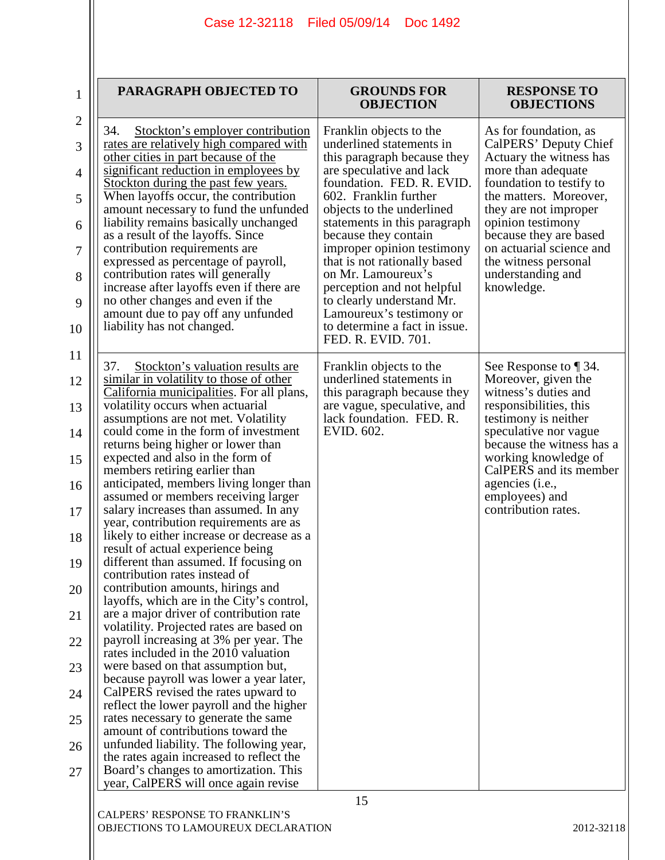| 1                   | PARAGRAPH OBJECTED TO                                                                                               | <b>GROUNDS FOR</b><br><b>OBJECTION</b>                                            | <b>RESPONSE TO</b><br><b>OBJECTIONS</b>                              |
|---------------------|---------------------------------------------------------------------------------------------------------------------|-----------------------------------------------------------------------------------|----------------------------------------------------------------------|
| $\sqrt{2}$          | Stockton's employer contribution<br>34.<br>rates are relatively high compared with                                  | Franklin objects to the<br>underlined statements in                               | As for foundation, as<br>CalPERS' Deputy Chief                       |
| 3                   | other cities in part because of the<br>significant reduction in employees by                                        | this paragraph because they<br>are speculative and lack                           | Actuary the witness has<br>more than adequate                        |
| $\overline{4}$<br>5 | Stockton during the past few years.<br>When layoffs occur, the contribution                                         | foundation. FED. R. EVID.<br>602. Franklin further                                | foundation to testify to<br>the matters. Moreover,                   |
| 6                   | amount necessary to fund the unfunded<br>liability remains basically unchanged<br>as a result of the layoffs. Since | objects to the underlined<br>statements in this paragraph<br>because they contain | they are not improper<br>opinion testimony<br>because they are based |
| 7                   | contribution requirements are<br>expressed as percentage of payroll,                                                | improper opinion testimony<br>that is not rationally based                        | on actuarial science and<br>the witness personal                     |
| 8                   | contribution rates will generally<br>increase after layoffs even if there are                                       | on Mr. Lamoureux's<br>perception and not helpful                                  | understanding and<br>knowledge.                                      |
| 9                   | no other changes and even if the<br>amount due to pay off any unfunded                                              | to clearly understand Mr.<br>Lamoureux's testimony or                             |                                                                      |
| 10                  | liability has not changed.                                                                                          | to determine a fact in issue.<br>FED. R. EVID. 701.                               |                                                                      |
| 11                  | 37.<br>Stockton's valuation results are                                                                             | Franklin objects to the                                                           | See Response to $\P$ 34.                                             |
| 12                  | similar in volatility to those of other<br>California municipalities. For all plans,                                | underlined statements in<br>this paragraph because they                           | Moreover, given the<br>witness's duties and                          |
| 13                  | volatility occurs when actuarial<br>assumptions are not met. Volatility                                             | are vague, speculative, and<br>lack foundation. FED. R.                           | responsibilities, this<br>testimony is neither                       |
| 14                  | could come in the form of investment<br>returns being higher or lower than                                          | EVID. 602.                                                                        | speculative nor vague<br>because the witness has a                   |
| 15                  | expected and also in the form of<br>members retiring earlier than                                                   |                                                                                   | working knowledge of<br>CalPERS and its member                       |
| 16                  | anticipated, members living longer than<br>assumed or members receiving larger                                      |                                                                                   | agencies (i.e.,<br>employees) and                                    |
| 17                  | salary increases than assumed. In any<br>year, contribution requirements are as                                     |                                                                                   | contribution rates.                                                  |
| 18                  | likely to either increase or decrease as a<br>result of actual experience being                                     |                                                                                   |                                                                      |
| 19                  | different than assumed. If focusing on<br>contribution rates instead of                                             |                                                                                   |                                                                      |
| 20                  | contribution amounts, hirings and<br>layoffs, which are in the City's control,                                      |                                                                                   |                                                                      |
| 21                  | are a major driver of contribution rate<br>volatility. Projected rates are based on                                 |                                                                                   |                                                                      |
| 22                  | payroll increasing at 3% per year. The<br>rates included in the 2010 valuation                                      |                                                                                   |                                                                      |
| 23                  | were based on that assumption but,<br>because payroll was lower a year later,                                       |                                                                                   |                                                                      |
| 24                  | CalPERS revised the rates upward to<br>reflect the lower payroll and the higher                                     |                                                                                   |                                                                      |
| 25                  | rates necessary to generate the same<br>amount of contributions toward the                                          |                                                                                   |                                                                      |
| 26                  | unfunded liability. The following year,<br>the rates again increased to reflect the                                 |                                                                                   |                                                                      |
| 27                  | Board's changes to amortization. This<br>year, CalPERS will once again revise                                       |                                                                                   |                                                                      |
|                     |                                                                                                                     | 15                                                                                |                                                                      |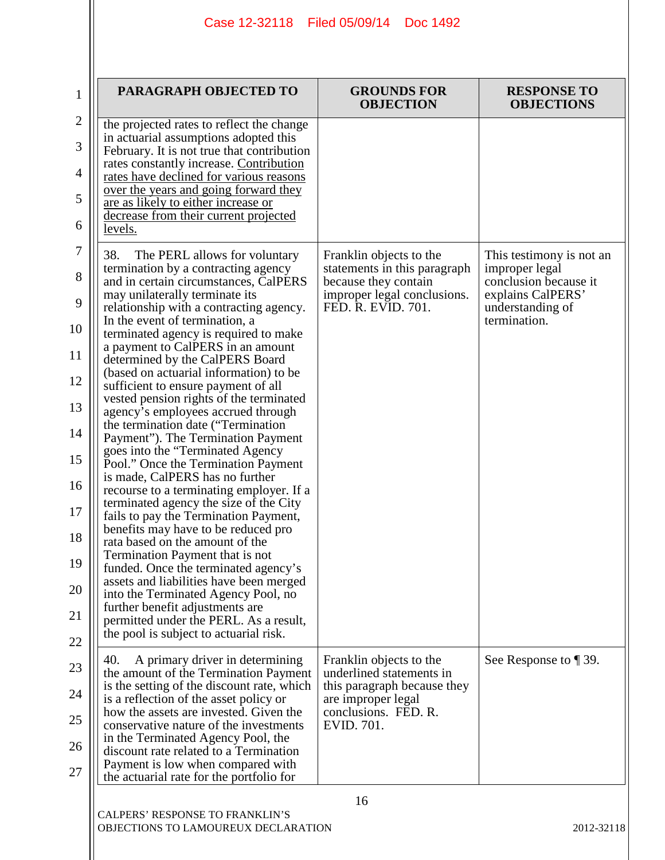| PARAGRAPH OBJECTED TO                                                                                                                                                                                                                                                                                                                                                                                                                                                                                                                                                                                                                                                                                                                                                                                                                                                                                                                                                                                                                                                                                                                                                                                         | <b>GROUNDS FOR</b><br><b>OBJECTION</b>                                                                                                         | <b>RESPONSE TO</b><br><b>OBJECTIONS</b>                                                                                      |
|---------------------------------------------------------------------------------------------------------------------------------------------------------------------------------------------------------------------------------------------------------------------------------------------------------------------------------------------------------------------------------------------------------------------------------------------------------------------------------------------------------------------------------------------------------------------------------------------------------------------------------------------------------------------------------------------------------------------------------------------------------------------------------------------------------------------------------------------------------------------------------------------------------------------------------------------------------------------------------------------------------------------------------------------------------------------------------------------------------------------------------------------------------------------------------------------------------------|------------------------------------------------------------------------------------------------------------------------------------------------|------------------------------------------------------------------------------------------------------------------------------|
| the projected rates to reflect the change<br>in actuarial assumptions adopted this<br>February. It is not true that contribution<br>rates constantly increase. Contribution<br>rates have declined for various reasons<br>over the years and going forward they<br>are as likely to either increase or<br>decrease from their current projected<br>levels.                                                                                                                                                                                                                                                                                                                                                                                                                                                                                                                                                                                                                                                                                                                                                                                                                                                    |                                                                                                                                                |                                                                                                                              |
| 38.<br>The PERL allows for voluntary<br>termination by a contracting agency<br>and in certain circumstances, CalPERS<br>may unilaterally terminate its<br>relationship with a contracting agency.<br>In the event of termination, a<br>terminated agency is required to make<br>a payment to CalPERS in an amount<br>determined by the CalPERS Board<br>(based on actuarial information) to be<br>sufficient to ensure payment of all<br>vested pension rights of the terminated<br>agency's employees accrued through<br>the termination date ("Termination<br>Payment"). The Termination Payment<br>goes into the "Terminated Agency<br>Pool." Once the Termination Payment<br>is made, CalPERS has no further<br>recourse to a terminating employer. If a<br>terminated agency the size of the City<br>fails to pay the Termination Payment,<br>benefits may have to be reduced pro<br>rata based on the amount of the<br>Termination Payment that is not<br>funded. Once the terminated agency's<br>assets and liabilities have been merged<br>into the Terminated Agency Pool, no<br>further benefit adjustments are<br>permitted under the PERL. As a result,<br>the pool is subject to actuarial risk. | Franklin objects to the<br>statements in this paragraph<br>because they contain<br>improper legal conclusions.<br>FED. R. EVID. 701.           | This testimony is not an<br>improper legal<br>conclusion because it<br>explains CalPERS'<br>understanding of<br>termination. |
| 40.<br>A primary driver in determining<br>the amount of the Termination Payment<br>is the setting of the discount rate, which<br>is a reflection of the asset policy or<br>how the assets are invested. Given the<br>conservative nature of the investments<br>in the Terminated Agency Pool, the<br>discount rate related to a Termination<br>Payment is low when compared with<br>the actuarial rate for the portfolio for                                                                                                                                                                                                                                                                                                                                                                                                                                                                                                                                                                                                                                                                                                                                                                                  | Franklin objects to the<br>underlined statements in<br>this paragraph because they<br>are improper legal<br>conclusions. FED. R.<br>EVID. 701. | See Response to ¶ 39.                                                                                                        |

 $\mathbf{\mathsf{I}}$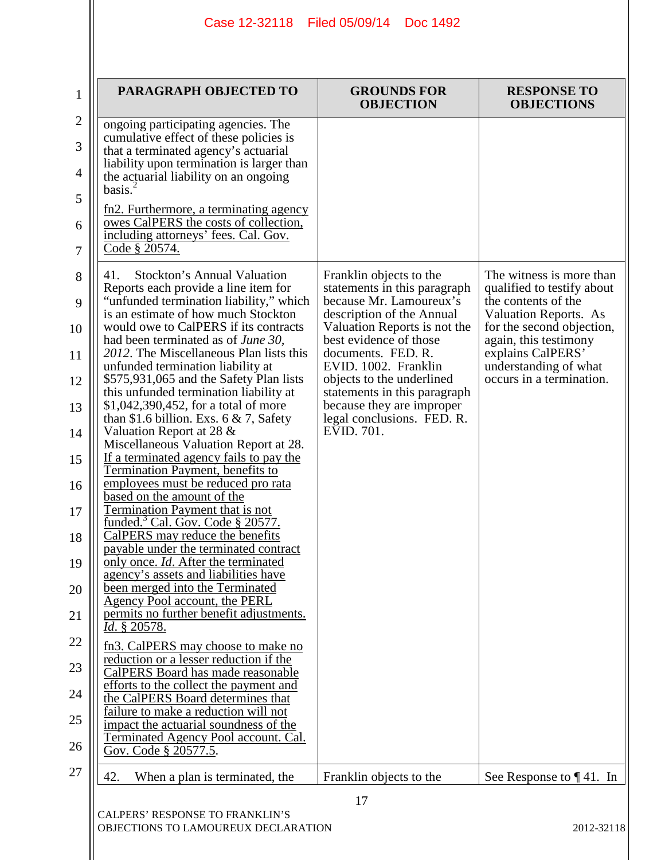| 1                                | PARAGRAPH OBJECTED TO                                                                                                                                                                                                                                                                                                                                        | <b>GROUNDS FOR</b><br><b>OBJECTION</b>                                                 | <b>RESPONSE TO</b><br><b>OBJECTIONS</b>                                            |
|----------------------------------|--------------------------------------------------------------------------------------------------------------------------------------------------------------------------------------------------------------------------------------------------------------------------------------------------------------------------------------------------------------|----------------------------------------------------------------------------------------|------------------------------------------------------------------------------------|
| $\mathbf{2}$<br>3<br>4<br>5<br>6 | ongoing participating agencies. The<br>cumulative effect of these policies is<br>that a terminated agency's actuarial<br>liability upon termination is larger than<br>the actuarial liability on an ongoing<br>basis <sup>2</sup><br>fn2. Furthermore, a terminating agency<br>owes CalPERS the costs of collection,<br>including attorneys' fees. Cal. Gov. |                                                                                        |                                                                                    |
| 7                                | Code § 20574.                                                                                                                                                                                                                                                                                                                                                |                                                                                        |                                                                                    |
| 8<br>9                           | Stockton's Annual Valuation<br>41.<br>Reports each provide a line item for<br>"unfunded termination liability," which                                                                                                                                                                                                                                        | Franklin objects to the<br>statements in this paragraph<br>because Mr. Lamoureux's     | The witness is more than<br>qualified to testify about<br>the contents of the      |
| 10                               | is an estimate of how much Stockton<br>would owe to CalPERS if its contracts<br>had been terminated as of <i>June 30</i> ,                                                                                                                                                                                                                                   | description of the Annual<br>Valuation Reports is not the<br>best evidence of those    | <b>Valuation Reports. As</b><br>for the second objection,<br>again, this testimony |
| 11                               | 2012. The Miscellaneous Plan lists this<br>unfunded termination liability at                                                                                                                                                                                                                                                                                 | documents. FED. R.<br>EVID. 1002. Franklin                                             | explains CalPERS'<br>understanding of what                                         |
| 12<br>13                         | \$575,931,065 and the Safety Plan lists<br>this unfunded termination liability at<br>\$1,042,390,452, for a total of more                                                                                                                                                                                                                                    | objects to the underlined<br>statements in this paragraph<br>because they are improper | occurs in a termination.                                                           |
| 14                               | than \$1.6 billion. Exs. 6 $\&$ 7, Safety<br>Valuation Report at 28 $\&$                                                                                                                                                                                                                                                                                     | legal conclusions. FED. R.<br>EVID. 701.                                               |                                                                                    |
| 15                               | Miscellaneous Valuation Report at 28.<br><u>If a terminated agency fails to pay the</u>                                                                                                                                                                                                                                                                      |                                                                                        |                                                                                    |
| 16                               | <b>Termination Payment, benefits to</b><br>employees must be reduced pro rata<br>based on the amount of the                                                                                                                                                                                                                                                  |                                                                                        |                                                                                    |
| 17                               | Termination Payment that is not<br><u>funded.<sup>3</sup> Cal. Gov. Code § 20577.</u>                                                                                                                                                                                                                                                                        |                                                                                        |                                                                                    |
| 18                               | CalPERS may reduce the benefits<br>payable under the terminated contract<br>only once. <i>Id.</i> After the terminated                                                                                                                                                                                                                                       |                                                                                        |                                                                                    |
| 19<br>20                         | agency's assets and liabilities have<br>been merged into the Terminated                                                                                                                                                                                                                                                                                      |                                                                                        |                                                                                    |
| 21                               | Agency Pool account, the PERL<br>permits no further benefit adjustments.<br><i>Id.</i> § 20578.                                                                                                                                                                                                                                                              |                                                                                        |                                                                                    |
| 22                               | fn3. CalPERS may choose to make no                                                                                                                                                                                                                                                                                                                           |                                                                                        |                                                                                    |
| 23                               | reduction or a lesser reduction if the<br>CalPERS Board has made reasonable                                                                                                                                                                                                                                                                                  |                                                                                        |                                                                                    |
| 24                               | efforts to the collect the payment and<br>the CalPERS Board determines that                                                                                                                                                                                                                                                                                  |                                                                                        |                                                                                    |
| 25                               | failure to make a reduction will not<br>impact the actuarial soundness of the                                                                                                                                                                                                                                                                                |                                                                                        |                                                                                    |
| 26                               | Terminated Agency Pool account. Cal.<br>Gov. Code § 20577.5.                                                                                                                                                                                                                                                                                                 |                                                                                        |                                                                                    |
| 27                               | 42.<br>When a plan is terminated, the                                                                                                                                                                                                                                                                                                                        | Franklin objects to the                                                                | See Response to $\P$ 41. In                                                        |
|                                  | CALPERS' RESPONSE TO FRANKLIN'S<br>OBJECTIONS TO LAMOUREUX DECLARATION                                                                                                                                                                                                                                                                                       | 17                                                                                     | 2012-32118                                                                         |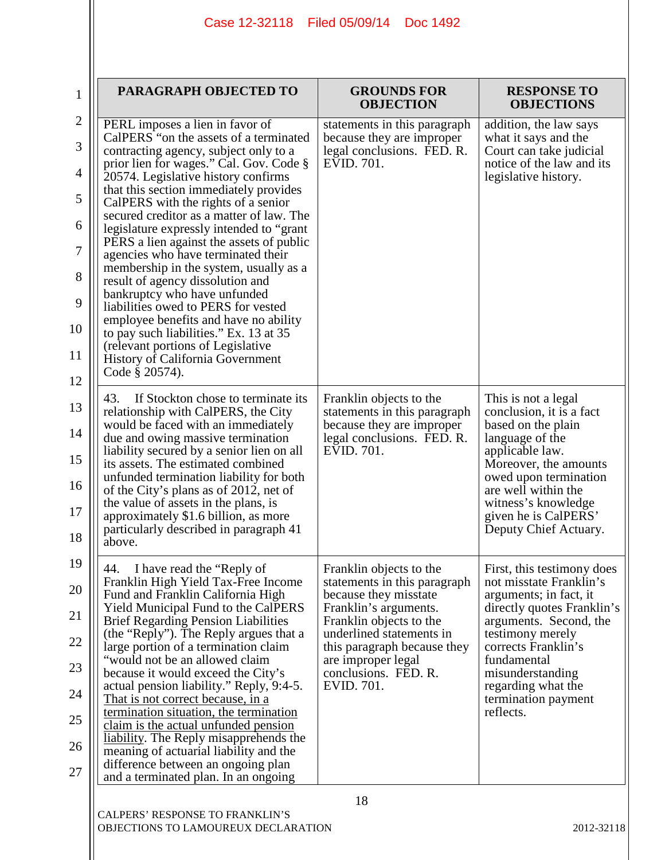|                   | Case 12-32118<br>Filed 05/09/14<br>Doc 1492                                                                                       |                                                                                         |                                                                           |  |
|-------------------|-----------------------------------------------------------------------------------------------------------------------------------|-----------------------------------------------------------------------------------------|---------------------------------------------------------------------------|--|
|                   |                                                                                                                                   |                                                                                         |                                                                           |  |
| $\mathbf 1$       | PARAGRAPH OBJECTED TO                                                                                                             | <b>GROUNDS FOR</b><br><b>OBJECTION</b>                                                  | <b>RESPONSE TO</b><br><b>OBJECTIONS</b>                                   |  |
| $\mathbf{2}$<br>3 | PERL imposes a lien in favor of<br>CalPERS "on the assets of a terminated<br>contracting agency, subject only to a                | statements in this paragraph<br>because they are improper<br>legal conclusions. FED. R. | addition, the law says<br>what it says and the<br>Court can take judicial |  |
| 4                 | prior lien for wages." Cal. Gov. Code §<br>20574. Legislative history confirms                                                    | EVID. 701.                                                                              | notice of the law and its<br>legislative history.                         |  |
| 5                 | that this section immediately provides<br>CalPERS with the rights of a senior                                                     |                                                                                         |                                                                           |  |
| 6                 | secured creditor as a matter of law. The<br>legislature expressly intended to "grant"<br>PERS a lien against the assets of public |                                                                                         |                                                                           |  |
| $\tau$            | agencies who have terminated their<br>membership in the system, usually as a                                                      |                                                                                         |                                                                           |  |
| 8<br>9            | result of agency dissolution and<br>bankruptcy who have unfunded                                                                  |                                                                                         |                                                                           |  |
| 10                | liabilities owed to PERS for vested<br>employee benefits and have no ability<br>to pay such liabilities." Ex. 13 at 35            |                                                                                         |                                                                           |  |
| 11                | (relevant portions of Legislative<br>History of California Government                                                             |                                                                                         |                                                                           |  |
| 12                | Code § 20574).                                                                                                                    |                                                                                         |                                                                           |  |
| 13                | 43.<br>If Stockton chose to terminate its<br>relationship with CalPERS, the City<br>would be faced with an immediately            | Franklin objects to the<br>statements in this paragraph<br>because they are improper    | This is not a legal<br>conclusion, it is a fact<br>based on the plain     |  |
| 14                | due and owing massive termination<br>liability secured by a senior lien on all                                                    | legal conclusions. FED. R.<br>EVID. 701.                                                | language of the<br>applicable law.                                        |  |
| 15<br>16          | its assets. The estimated combined<br>unfunded termination liability for both<br>of the City's plans as of 2012, net of           |                                                                                         | Moreover, the amounts<br>owed upon termination<br>are well within the     |  |
| 17                | the value of assets in the plans, is<br>approximately \$1.6 billion, as more                                                      |                                                                                         | witness's knowledge<br>given he is CalPERS'                               |  |
| 18                | particularly described in paragraph 41<br>above.                                                                                  |                                                                                         | Deputy Chief Actuary.                                                     |  |
| 19                | 44.<br>I have read the "Reply of<br>Franklin High Yield Tax-Free Income                                                           | Franklin objects to the<br>statements in this paragraph                                 | First, this testimony does<br>not misstate Franklin's                     |  |
| 20                | Fund and Franklin California High<br><b>Yield Municipal Fund to the CalPERS</b>                                                   | because they misstate<br>Franklin's arguments.                                          | arguments; in fact, it<br>directly quotes Franklin's                      |  |
| 21<br>22          | <b>Brief Regarding Pension Liabilities</b><br>(the "Reply"). The Reply argues that a                                              | Franklin objects to the<br>underlined statements in                                     | arguments. Second, the<br>testimony merely                                |  |
| 23                | large portion of a termination claim<br>"would not be an allowed claim<br>because it would exceed the City's                      | this paragraph because they<br>are improper legal<br>conclusions. FED. R.               | corrects Franklin's<br>fundamental<br>misunderstanding                    |  |
| 24                | actual pension liability." Reply, 9:4-5.<br><u>That is not correct because, in a</u>                                              | EVID. 701.                                                                              | regarding what the<br>termination payment                                 |  |
| 25                | termination situation, the termination<br>claim is the actual unfunded pension                                                    |                                                                                         | reflects.                                                                 |  |
| 26                | <u>liability</u> . The Reply misapprehends the<br>meaning of actuarial liability and the                                          |                                                                                         |                                                                           |  |
| 27                | difference between an ongoing plan<br>and a terminated plan. In an ongoing                                                        |                                                                                         |                                                                           |  |

18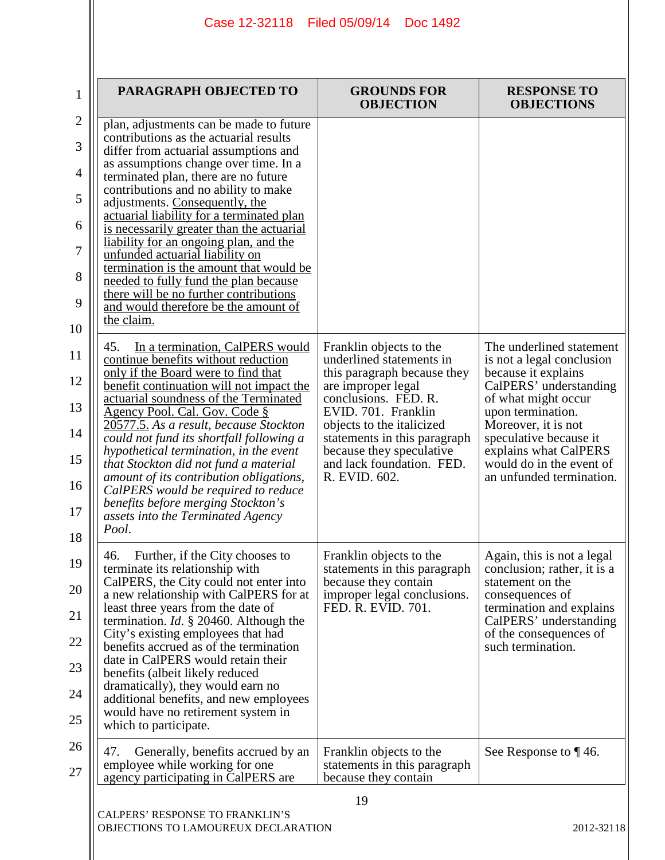| PARAGRAPH OBJECTED TO                                                                                                                                                                                                                                                                                                                                                                                                                                                                                                                                                                                                                                                                                                                                                                                                                                                                                                                                                                                                                                                                                                                                                                                                                | <b>GROUNDS FOR</b><br><b>OBJECTION</b>                                                                                                                                                                                                                                                         | <b>RESPONSE TO</b><br><b>OBJECTIONS</b>                                                                                                                                                                                                                                              |
|--------------------------------------------------------------------------------------------------------------------------------------------------------------------------------------------------------------------------------------------------------------------------------------------------------------------------------------------------------------------------------------------------------------------------------------------------------------------------------------------------------------------------------------------------------------------------------------------------------------------------------------------------------------------------------------------------------------------------------------------------------------------------------------------------------------------------------------------------------------------------------------------------------------------------------------------------------------------------------------------------------------------------------------------------------------------------------------------------------------------------------------------------------------------------------------------------------------------------------------|------------------------------------------------------------------------------------------------------------------------------------------------------------------------------------------------------------------------------------------------------------------------------------------------|--------------------------------------------------------------------------------------------------------------------------------------------------------------------------------------------------------------------------------------------------------------------------------------|
| plan, adjustments can be made to future<br>contributions as the actuarial results<br>differ from actuarial assumptions and<br>as assumptions change over time. In a<br>terminated plan, there are no future<br>contributions and no ability to make<br>adjustments. Consequently, the<br>actuarial liability for a terminated plan<br>is necessarily greater than the actuarial<br>liability for an ongoing plan, and the<br>unfunded actuarial liability on<br>termination is the amount that would be<br>needed to fully fund the plan because<br>there will be no further contributions<br>and would therefore be the amount of<br>the claim.<br>45.<br>In a termination, CalPERS would<br>continue benefits without reduction<br>only if the Board were to find that<br>benefit continuation will not impact the<br>actuarial soundness of the Terminated<br>Agency Pool. Cal. Gov. Code §<br>20577.5. As a result, because Stockton<br>could not fund its shortfall following a<br>hypothetical termination, in the event<br>that Stockton did not fund a material<br>amount of its contribution obligations,<br>CalPERS would be required to reduce<br>benefits before merging Stockton's<br>assets into the Terminated Agency | Franklin objects to the<br>underlined statements in<br>this paragraph because they<br>are improper legal<br>conclusions. FED. R.<br>EVID. 701. Franklin<br>objects to the italicized<br>statements in this paragraph<br>because they speculative<br>and lack foundation. FED.<br>R. EVID. 602. | The underlined statement<br>is not a legal conclusion<br>because it explains<br>CalPERS' understanding<br>of what might occur<br>upon termination.<br>Moreover, it is not<br>speculative because it<br>explains what CalPERS<br>would do in the event of<br>an unfunded termination. |
| Pool.<br>46. Further, if the City chooses to<br>terminate its relationship with<br>CalPERS, the City could not enter into<br>a new relationship with CalPERS for at<br>least three years from the date of<br>termination. <i>Id.</i> $\S$ 20460. Although the<br>City's existing employees that had<br>benefits accrued as of the termination<br>date in CalPERS would retain their<br>benefits (albeit likely reduced<br>dramatically), they would earn no<br>additional benefits, and new employees<br>would have no retirement system in<br>which to participate.<br>47.<br>Generally, benefits accrued by an                                                                                                                                                                                                                                                                                                                                                                                                                                                                                                                                                                                                                     | Franklin objects to the<br>statements in this paragraph<br>because they contain<br>improper legal conclusions.<br>FED. R. EVID. 701.<br>Franklin objects to the                                                                                                                                | Again, this is not a legal<br>conclusion; rather, it is a<br>statement on the<br>consequences of<br>termination and explains<br>CalPERS' understanding<br>of the consequences of<br>such termination.<br>See Response to $\P$ 46.                                                    |
| employee while working for one<br>agency participating in CalPERS are                                                                                                                                                                                                                                                                                                                                                                                                                                                                                                                                                                                                                                                                                                                                                                                                                                                                                                                                                                                                                                                                                                                                                                | statements in this paragraph<br>because they contain                                                                                                                                                                                                                                           |                                                                                                                                                                                                                                                                                      |
| CALPERS' RESPONSE TO FRANKLIN'S<br>OBJECTIONS TO LAMOUREUX DECLARATION                                                                                                                                                                                                                                                                                                                                                                                                                                                                                                                                                                                                                                                                                                                                                                                                                                                                                                                                                                                                                                                                                                                                                               | 19                                                                                                                                                                                                                                                                                             | 2012-32118                                                                                                                                                                                                                                                                           |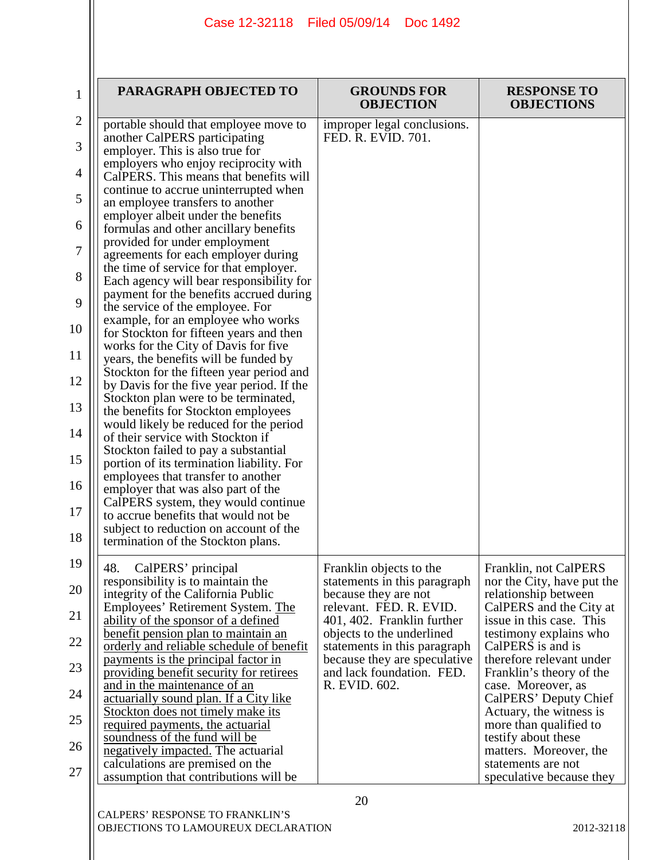| PARAGRAPH OBJECTED TO                                                              | <b>GROUNDS FOR</b>                                        | <b>RESPONSE TO</b>                              |
|------------------------------------------------------------------------------------|-----------------------------------------------------------|-------------------------------------------------|
|                                                                                    | <b>OBJECTION</b>                                          | <b>OBJECTIONS</b>                               |
| portable should that employee move to<br>another CalPERS participating             | improper legal conclusions.<br>FED. R. EVID. 701.         |                                                 |
| employer. This is also true for                                                    |                                                           |                                                 |
| employers who enjoy reciprocity with                                               |                                                           |                                                 |
| CalPERS. This means that benefits will                                             |                                                           |                                                 |
| continue to accrue uninterrupted when                                              |                                                           |                                                 |
| an employee transfers to another<br>employer albeit under the benefits             |                                                           |                                                 |
| formulas and other ancillary benefits                                              |                                                           |                                                 |
| provided for under employment                                                      |                                                           |                                                 |
| agreements for each employer during                                                |                                                           |                                                 |
| the time of service for that employer.<br>Each agency will bear responsibility for |                                                           |                                                 |
| payment for the benefits accrued during                                            |                                                           |                                                 |
| the service of the employee. For                                                   |                                                           |                                                 |
| example, for an employee who works                                                 |                                                           |                                                 |
| for Stockton for fifteen years and then<br>works for the City of Davis for five    |                                                           |                                                 |
| years, the benefits will be funded by                                              |                                                           |                                                 |
| Stockton for the fifteen year period and                                           |                                                           |                                                 |
| by Davis for the five year period. If the                                          |                                                           |                                                 |
| Stockton plan were to be terminated,<br>the benefits for Stockton employees        |                                                           |                                                 |
| would likely be reduced for the period                                             |                                                           |                                                 |
| of their service with Stockton if                                                  |                                                           |                                                 |
| Stockton failed to pay a substantial                                               |                                                           |                                                 |
| portion of its termination liability. For<br>employees that transfer to another    |                                                           |                                                 |
| employer that was also part of the                                                 |                                                           |                                                 |
| CalPERS system, they would continue                                                |                                                           |                                                 |
| to accrue benefits that would not be                                               |                                                           |                                                 |
| subject to reduction on account of the<br>termination of the Stockton plans.       |                                                           |                                                 |
|                                                                                    |                                                           |                                                 |
| 48.<br>CalPERS' principal                                                          | Franklin objects to the                                   | Franklin, not CalPERS                           |
| responsibility is to maintain the                                                  | statements in this paragraph                              | nor the City, have put the                      |
| integrity of the California Public<br>Employees' Retirement System. The            | because they are not<br>relevant. FED. R. EVID.           | relationship between<br>CalPERS and the City at |
| ability of the sponsor of a defined                                                | 401, 402. Franklin further                                | issue in this case. This                        |
| benefit pension plan to maintain an                                                | objects to the underlined                                 | testimony explains who                          |
| orderly and reliable schedule of benefit                                           | statements in this paragraph                              | CalPERS is and is                               |
| payments is the principal factor in                                                | because they are speculative<br>and lack foundation. FED. | therefore relevant under                        |
| providing benefit security for retirees<br>and in the maintenance of an            | R. EVID. 602.                                             | Franklin's theory of the<br>case. Moreover, as  |
| actuarially sound plan. If a City like                                             |                                                           | CalPERS' Deputy Chief                           |
| Stockton does not timely make its                                                  |                                                           | Actuary, the witness is                         |
| required payments, the actuarial                                                   |                                                           | more than qualified to                          |
| soundness of the fund will be<br>negatively impacted. The actuarial                |                                                           | testify about these<br>matters. Moreover, the   |
| calculations are premised on the                                                   |                                                           | statements are not                              |
| assumption that contributions will be                                              |                                                           | speculative because they                        |
|                                                                                    | 20                                                        |                                                 |
|                                                                                    |                                                           |                                                 |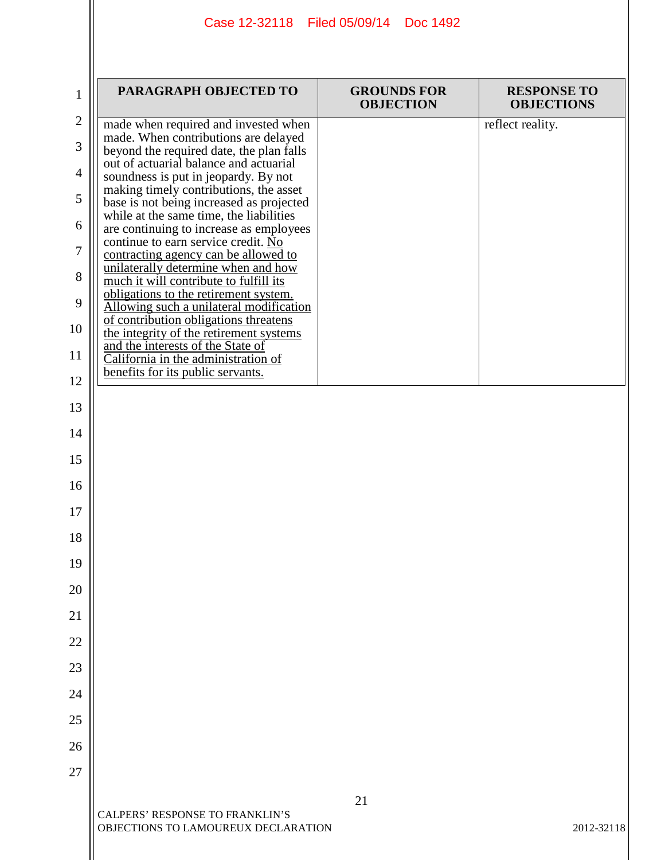|                | Case 12-32118 Filed 05/09/14 Doc 1492                                                                                       |                                        |                                         |  |  |
|----------------|-----------------------------------------------------------------------------------------------------------------------------|----------------------------------------|-----------------------------------------|--|--|
| 1              | PARAGRAPH OBJECTED TO                                                                                                       | <b>GROUNDS FOR</b><br><b>OBJECTION</b> | <b>RESPONSE TO</b><br><b>OBJECTIONS</b> |  |  |
| $\overline{2}$ | made when required and invested when                                                                                        |                                        | reflect reality.                        |  |  |
| 3              | made. When contributions are delayed<br>beyond the required date, the plan falls<br>out of actuarial balance and actuarial  |                                        |                                         |  |  |
| $\overline{4}$ | soundness is put in jeopardy. By not                                                                                        |                                        |                                         |  |  |
| 5              | making timely contributions, the asset<br>base is not being increased as projected                                          |                                        |                                         |  |  |
| 6              | while at the same time, the liabilities                                                                                     |                                        |                                         |  |  |
| 7              | are continuing to increase as employees<br>continue to earn service credit. No                                              |                                        |                                         |  |  |
| 8              | contracting agency can be allowed to<br>unilaterally determine when and how<br>much it will contribute to fulfill its       |                                        |                                         |  |  |
| 9              | obligations to the retirement system.                                                                                       |                                        |                                         |  |  |
| 10             | Allowing such a unilateral modification<br>of contribution obligations threatens<br>the integrity of the retirement systems |                                        |                                         |  |  |
| 11             | and the interests of the State of                                                                                           |                                        |                                         |  |  |
|                | California in the administration of<br>benefits for its public servants.                                                    |                                        |                                         |  |  |
| 12             |                                                                                                                             |                                        |                                         |  |  |
| 13             |                                                                                                                             |                                        |                                         |  |  |
| 14             |                                                                                                                             |                                        |                                         |  |  |
| 15<br>16       |                                                                                                                             |                                        |                                         |  |  |
| 17             |                                                                                                                             |                                        |                                         |  |  |
| 18             |                                                                                                                             |                                        |                                         |  |  |
| 19             |                                                                                                                             |                                        |                                         |  |  |
| 20             |                                                                                                                             |                                        |                                         |  |  |
| 21             |                                                                                                                             |                                        |                                         |  |  |
| 22             |                                                                                                                             |                                        |                                         |  |  |
| 23             |                                                                                                                             |                                        |                                         |  |  |
| 24             |                                                                                                                             |                                        |                                         |  |  |
| 25             |                                                                                                                             |                                        |                                         |  |  |
| 26             |                                                                                                                             |                                        |                                         |  |  |
| 27             |                                                                                                                             |                                        |                                         |  |  |
|                |                                                                                                                             | 21                                     |                                         |  |  |
|                | CALPERS' RESPONSE TO FRANKLIN'S<br>OBJECTIONS TO LAMOUREUX DECLARATION                                                      |                                        | 2012-32118                              |  |  |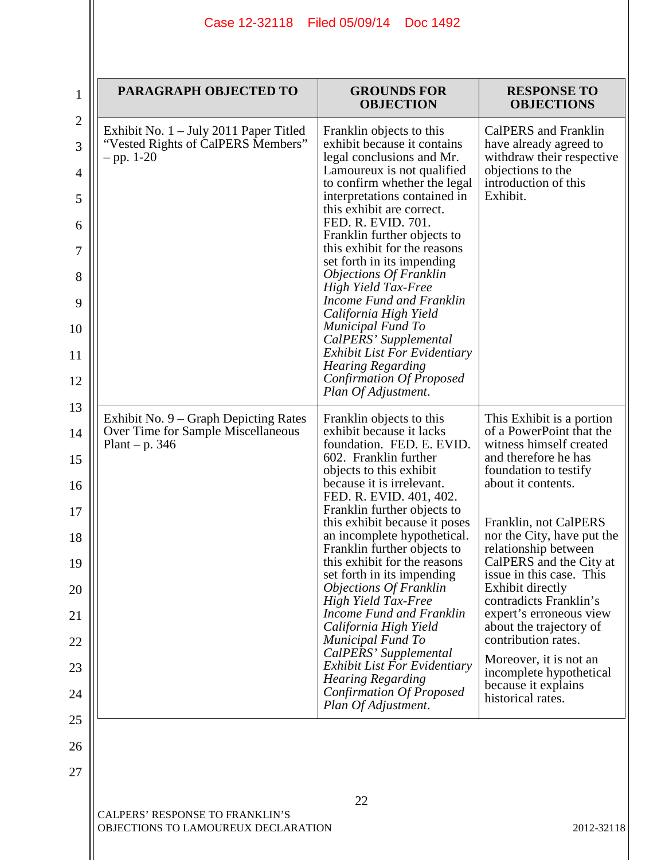|                                                    | PARAGRAPH OBJECTED TO                                                                      | <b>GROUNDS FOR</b><br><b>OBJECTION</b>                                                      | <b>RESPONSE TO</b><br><b>OBJECTIONS</b>                                     |
|----------------------------------------------------|--------------------------------------------------------------------------------------------|---------------------------------------------------------------------------------------------|-----------------------------------------------------------------------------|
|                                                    | Exhibit No. $1 -$ July 2011 Paper Titled                                                   | Franklin objects to this                                                                    | CalPERS and Franklin                                                        |
| "Vested Rights of CalPERS Members"<br>$-$ pp. 1-20 | exhibit because it contains<br>legal conclusions and Mr.                                   | have already agreed to<br>withdraw their respective                                         |                                                                             |
|                                                    | Lamoureux is not qualified<br>to confirm whether the legal<br>interpretations contained in | objections to the<br>introduction of this<br>Exhibit.                                       |                                                                             |
|                                                    |                                                                                            | this exhibit are correct.<br>FED. R. EVID. 701.<br>Franklin further objects to              |                                                                             |
|                                                    |                                                                                            | this exhibit for the reasons<br>set forth in its impending                                  |                                                                             |
|                                                    |                                                                                            | <b>Objections Of Franklin</b><br><b>High Yield Tax-Free</b>                                 |                                                                             |
|                                                    |                                                                                            | Income Fund and Franklin<br>California High Yield<br><b>Municipal Fund To</b>               |                                                                             |
|                                                    |                                                                                            | CalPERS' Supplemental<br><b>Exhibit List For Evidentiary</b>                                |                                                                             |
|                                                    |                                                                                            | <b>Hearing Regarding</b><br>Confirmation Of Proposed<br>Plan Of Adjustment.                 |                                                                             |
|                                                    | Exhibit No. 9 – Graph Depicting Rates                                                      | Franklin objects to this                                                                    | This Exhibit is a portion                                                   |
| Plant – p. $346$                                   | Over Time for Sample Miscellaneous                                                         | exhibit because it lacks<br>foundation. FED. E. EVID.                                       | of a PowerPoint that the<br>witness himself created                         |
|                                                    |                                                                                            | 602. Franklin further<br>objects to this exhibit<br>because it is irrelevant.               | and therefore he has<br>foundation to testify<br>about it contents.         |
|                                                    |                                                                                            | FED. R. EVID. 401, 402.<br>Franklin further objects to                                      |                                                                             |
|                                                    |                                                                                            | this exhibit because it poses<br>an incomplete hypothetical.<br>Franklin further objects to | Franklin, not CalPERS<br>nor the City, have put the                         |
|                                                    |                                                                                            | this exhibit for the reasons<br>set forth in its impending                                  | relationship between<br>CalPERS and the City at<br>issue in this case. This |
|                                                    |                                                                                            | <i><b>Objections Of Franklin</b></i><br><b>High Yield Tax-Free</b>                          | Exhibit directly<br>contradicts Franklin's                                  |
|                                                    |                                                                                            | Income Fund and Franklin<br>California High Yield<br><b>Municipal Fund To</b>               | expert's erroneous view<br>about the trajectory of<br>contribution rates.   |
|                                                    |                                                                                            | CalPERS' Supplemental<br><b>Exhibit List For Evidentiary</b>                                | Moreover, it is not an                                                      |
|                                                    |                                                                                            | <b>Hearing Regarding</b><br><b>Confirmation Of Proposed</b>                                 | incomplete hypothetical<br>because it explains                              |
|                                                    |                                                                                            | Plan Of Adjustment.                                                                         | historical rates.                                                           |
|                                                    |                                                                                            |                                                                                             |                                                                             |
|                                                    |                                                                                            |                                                                                             |                                                                             |
|                                                    |                                                                                            | 22                                                                                          |                                                                             |
|                                                    | CALPERS' RESPONSE TO FRANKLIN'S<br>OBJECTIONS TO LAMOUREUX DECLARATION                     |                                                                                             | 2012-32118                                                                  |